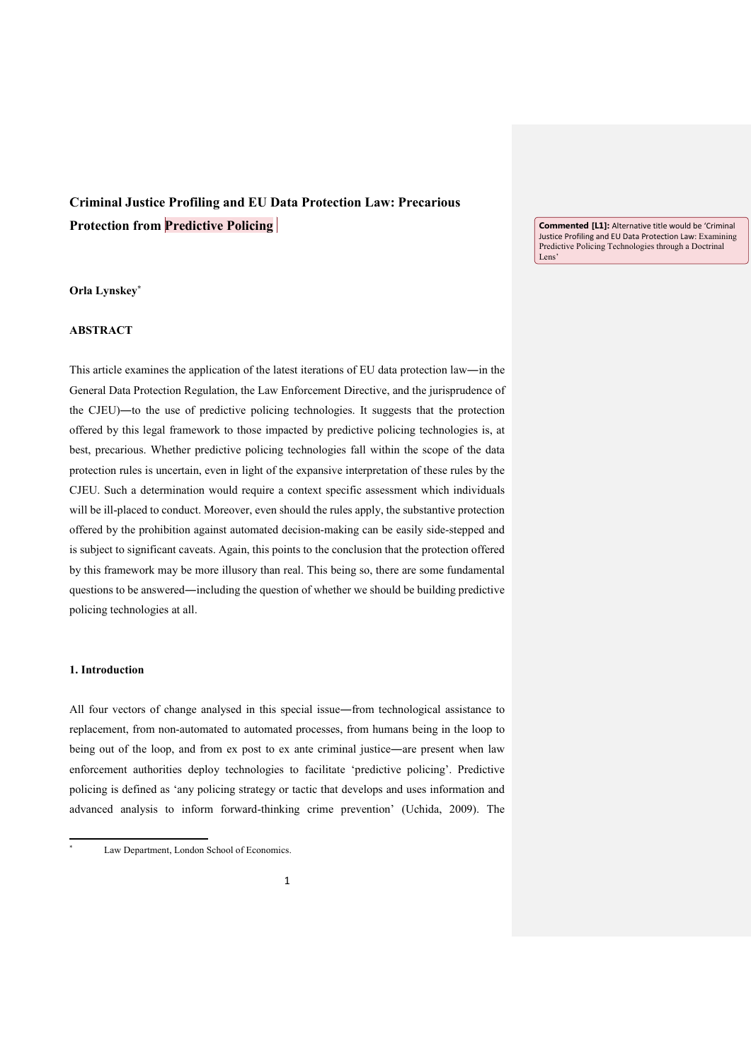# **Criminal Justice Profiling and EU Data Protection Law: Precarious Protection from Predictive Policing**

## **Orla Lynskey\***

# **ABSTRACT**

This article examines the application of the latest iterations of EU data protection law―in the General Data Protection Regulation, the Law Enforcement Directive, and the jurisprudence of the CJEU)―to the use of predictive policing technologies. It suggests that the protection offered by this legal framework to those impacted by predictive policing technologies is, at best, precarious. Whether predictive policing technologies fall within the scope of the data protection rules is uncertain, even in light of the expansive interpretation of these rules by the CJEU. Such a determination would require a context specific assessment which individuals will be ill-placed to conduct. Moreover, even should the rules apply, the substantive protection offered by the prohibition against automated decision-making can be easily side-stepped and is subject to significant caveats. Again, this points to the conclusion that the protection offered by this framework may be more illusory than real. This being so, there are some fundamental questions to be answered―including the question of whether we should be building predictive policing technologies at all.

# **1. Introduction**

<u>.</u> \*

All four vectors of change analysed in this special issue―from technological assistance to replacement, from non-automated to automated processes, from humans being in the loop to being out of the loop, and from ex post to ex ante criminal justice—are present when law enforcement authorities deploy technologies to facilitate 'predictive policing'. Predictive policing is defined as 'any policing strategy or tactic that develops and uses information and advanced analysis to inform forward-thinking crime prevention' (Uchida, 2009). The

**Commented [L1]:** Alternative title would be 'Criminal Justice Profiling and EU Data Protection Law: Examining Predictive Policing Technologies through a Doctrinal Lens'

Law Department, London School of Economics.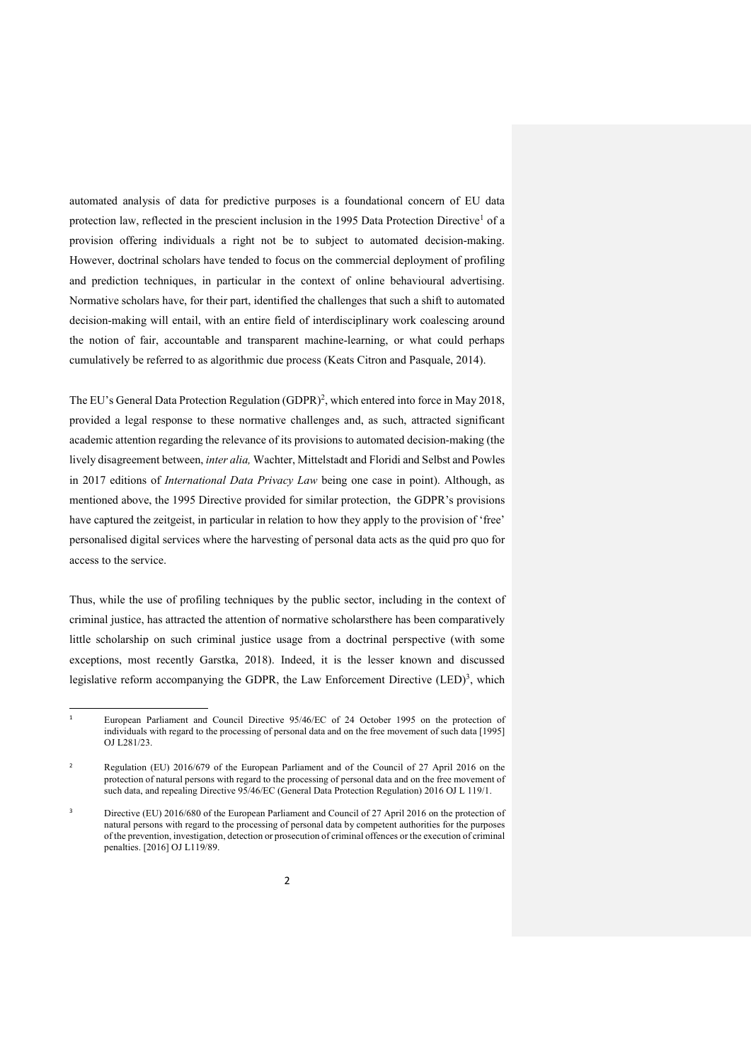automated analysis of data for predictive purposes is a foundational concern of EU data protection law, reflected in the prescient inclusion in the 1995 Data Protection Directive<sup>1</sup> of a provision offering individuals a right not be to subject to automated decision-making. However, doctrinal scholars have tended to focus on the commercial deployment of profiling and prediction techniques, in particular in the context of online behavioural advertising. Normative scholars have, for their part, identified the challenges that such a shift to automated decision-making will entail, with an entire field of interdisciplinary work coalescing around the notion of fair, accountable and transparent machine-learning, or what could perhaps cumulatively be referred to as algorithmic due process (Keats Citron and Pasquale, 2014).

The EU's General Data Protection Regulation (GDPR)<sup>2</sup>, which entered into force in May 2018, provided a legal response to these normative challenges and, as such, attracted significant academic attention regarding the relevance of its provisions to automated decision-making (the lively disagreement between, *inter alia,* Wachter, Mittelstadt and Floridi and Selbst and Powles in 2017 editions of *International Data Privacy Law* being one case in point). Although, as mentioned above, the 1995 Directive provided for similar protection, the GDPR's provisions have captured the zeitgeist, in particular in relation to how they apply to the provision of 'free' personalised digital services where the harvesting of personal data acts as the quid pro quo for access to the service.

Thus, while the use of profiling techniques by the public sector, including in the context of criminal justice, has attracted the attention of normative scholarsthere has been comparatively little scholarship on such criminal justice usage from a doctrinal perspective (with some exceptions, most recently Garstka, 2018). Indeed, it is the lesser known and discussed legislative reform accompanying the GDPR, the Law Enforcement Directive  $(LED)^3$ , which

<u>.</u>

<sup>1</sup> European Parliament and Council Directive 95/46/EC of 24 October 1995 on the protection of individuals with regard to the processing of personal data and on the free movement of such data [1995] OJ L281/23.

 $\overline{2}$  Regulation (EU) 2016/679 of the European Parliament and of the Council of 27 April 2016 on the protection of natural persons with regard to the processing of personal data and on the free movement of such data, and repealing Directive 95/46/EC (General Data Protection Regulation) 2016 OJ L 119/1.

<sup>3</sup> Directive (EU) 2016/680 of the European Parliament and Council of 27 April 2016 on the protection of natural persons with regard to the processing of personal data by competent authorities for the purposes of the prevention, investigation, detection or prosecution of criminal offences or the execution of criminal penalties. [2016] OJ L119/89.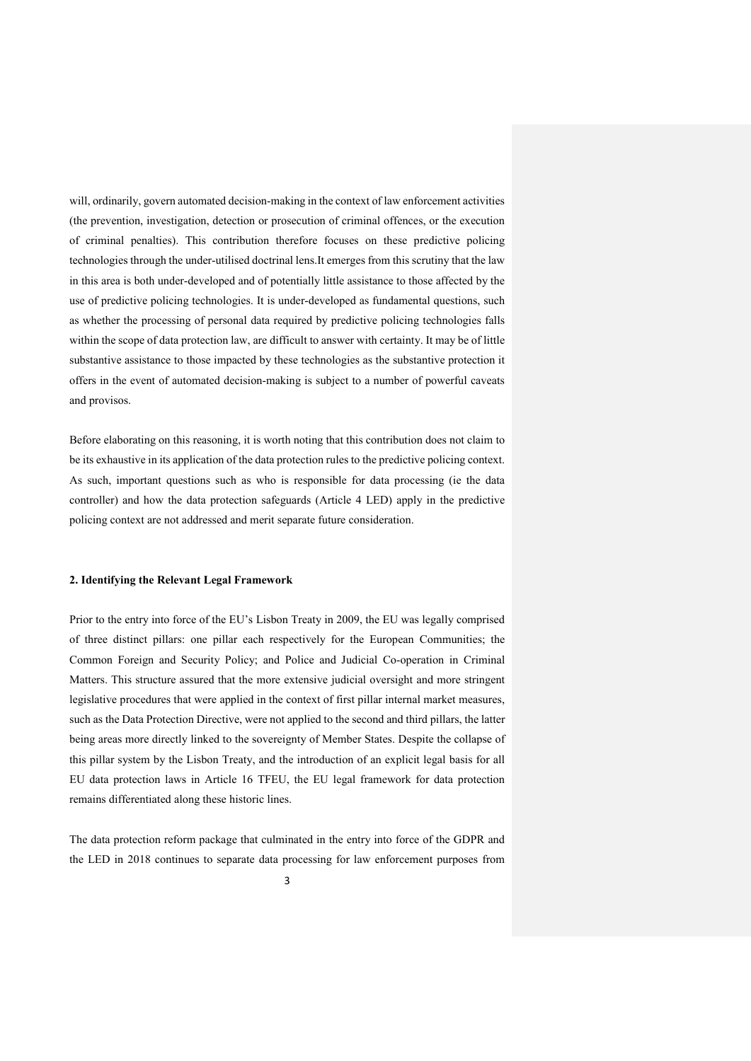will, ordinarily, govern automated decision-making in the context of law enforcement activities (the prevention, investigation, detection or prosecution of criminal offences, or the execution of criminal penalties). This contribution therefore focuses on these predictive policing technologies through the under-utilised doctrinal lens.It emerges from this scrutiny that the law in this area is both under-developed and of potentially little assistance to those affected by the use of predictive policing technologies. It is under-developed as fundamental questions, such as whether the processing of personal data required by predictive policing technologies falls within the scope of data protection law, are difficult to answer with certainty. It may be of little substantive assistance to those impacted by these technologies as the substantive protection it offers in the event of automated decision-making is subject to a number of powerful caveats and provisos.

Before elaborating on this reasoning, it is worth noting that this contribution does not claim to be its exhaustive in its application of the data protection rules to the predictive policing context. As such, important questions such as who is responsible for data processing (ie the data controller) and how the data protection safeguards (Article 4 LED) apply in the predictive policing context are not addressed and merit separate future consideration.

## **2. Identifying the Relevant Legal Framework**

Prior to the entry into force of the EU's Lisbon Treaty in 2009, the EU was legally comprised of three distinct pillars: one pillar each respectively for the European Communities; the Common Foreign and Security Policy; and Police and Judicial Co-operation in Criminal Matters. This structure assured that the more extensive judicial oversight and more stringent legislative procedures that were applied in the context of first pillar internal market measures, such as the Data Protection Directive, were not applied to the second and third pillars, the latter being areas more directly linked to the sovereignty of Member States. Despite the collapse of this pillar system by the Lisbon Treaty, and the introduction of an explicit legal basis for all EU data protection laws in Article 16 TFEU, the EU legal framework for data protection remains differentiated along these historic lines.

The data protection reform package that culminated in the entry into force of the GDPR and the LED in 2018 continues to separate data processing for law enforcement purposes from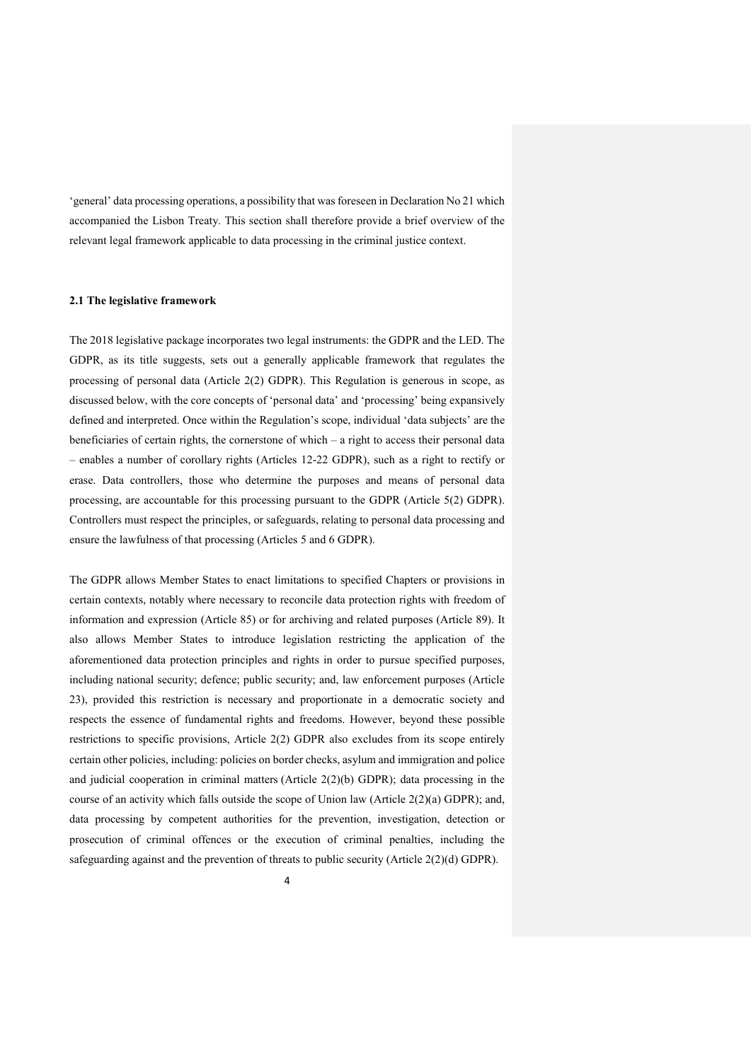'general' data processing operations, a possibility that was foreseen in Declaration No 21 which accompanied the Lisbon Treaty. This section shall therefore provide a brief overview of the relevant legal framework applicable to data processing in the criminal justice context.

### **2.1 The legislative framework**

The 2018 legislative package incorporates two legal instruments: the GDPR and the LED. The GDPR, as its title suggests, sets out a generally applicable framework that regulates the processing of personal data (Article 2(2) GDPR). This Regulation is generous in scope, as discussed below, with the core concepts of 'personal data' and 'processing' being expansively defined and interpreted. Once within the Regulation's scope, individual 'data subjects' are the beneficiaries of certain rights, the cornerstone of which – a right to access their personal data – enables a number of corollary rights (Articles 12-22 GDPR), such as a right to rectify or erase. Data controllers, those who determine the purposes and means of personal data processing, are accountable for this processing pursuant to the GDPR (Article 5(2) GDPR). Controllers must respect the principles, or safeguards, relating to personal data processing and ensure the lawfulness of that processing (Articles 5 and 6 GDPR).

The GDPR allows Member States to enact limitations to specified Chapters or provisions in certain contexts, notably where necessary to reconcile data protection rights with freedom of information and expression (Article 85) or for archiving and related purposes (Article 89). It also allows Member States to introduce legislation restricting the application of the aforementioned data protection principles and rights in order to pursue specified purposes, including national security; defence; public security; and, law enforcement purposes (Article 23), provided this restriction is necessary and proportionate in a democratic society and respects the essence of fundamental rights and freedoms. However, beyond these possible restrictions to specific provisions, Article 2(2) GDPR also excludes from its scope entirely certain other policies, including: policies on border checks, asylum and immigration and police and judicial cooperation in criminal matters (Article 2(2)(b) GDPR); data processing in the course of an activity which falls outside the scope of Union law (Article  $2(2)(a)$  GDPR); and, data processing by competent authorities for the prevention, investigation, detection or prosecution of criminal offences or the execution of criminal penalties, including the safeguarding against and the prevention of threats to public security (Article 2(2)(d) GDPR).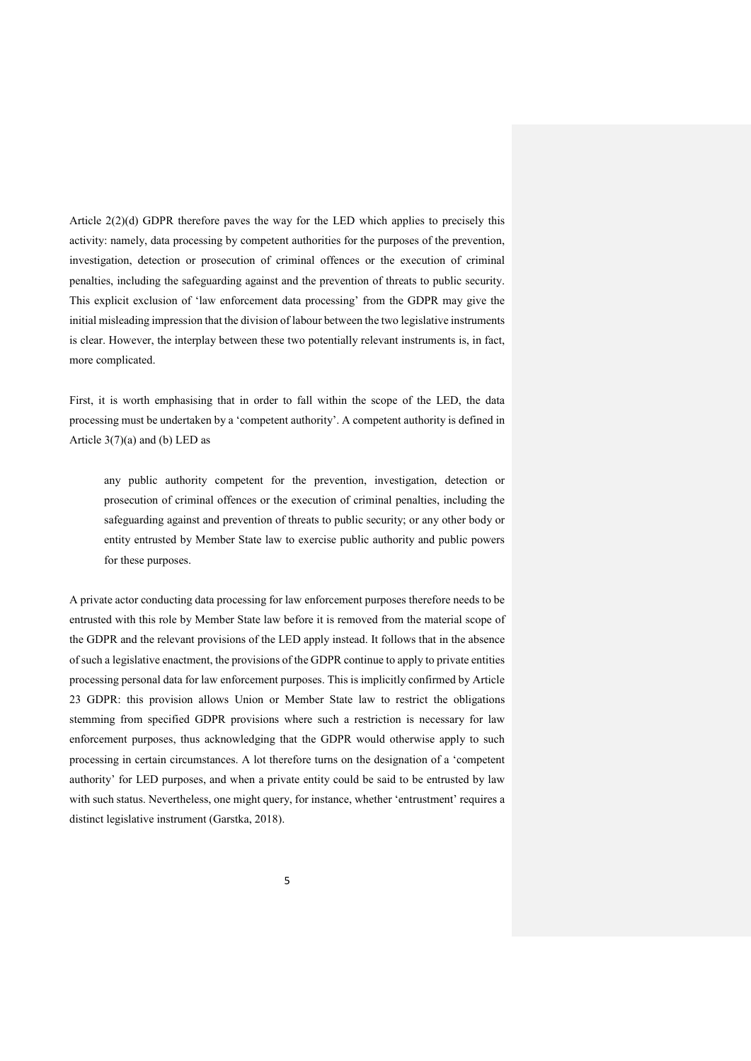Article 2(2)(d) GDPR therefore paves the way for the LED which applies to precisely this activity: namely, data processing by competent authorities for the purposes of the prevention, investigation, detection or prosecution of criminal offences or the execution of criminal penalties, including the safeguarding against and the prevention of threats to public security. This explicit exclusion of 'law enforcement data processing' from the GDPR may give the initial misleading impression that the division of labour between the two legislative instruments is clear. However, the interplay between these two potentially relevant instruments is, in fact, more complicated.

First, it is worth emphasising that in order to fall within the scope of the LED, the data processing must be undertaken by a 'competent authority'. A competent authority is defined in Article  $3(7)(a)$  and (b) LED as

any public authority competent for the prevention, investigation, detection or prosecution of criminal offences or the execution of criminal penalties, including the safeguarding against and prevention of threats to public security; or any other body or entity entrusted by Member State law to exercise public authority and public powers for these purposes.

A private actor conducting data processing for law enforcement purposes therefore needs to be entrusted with this role by Member State law before it is removed from the material scope of the GDPR and the relevant provisions of the LED apply instead. It follows that in the absence of such a legislative enactment, the provisions of the GDPR continue to apply to private entities processing personal data for law enforcement purposes. This is implicitly confirmed by Article 23 GDPR: this provision allows Union or Member State law to restrict the obligations stemming from specified GDPR provisions where such a restriction is necessary for law enforcement purposes, thus acknowledging that the GDPR would otherwise apply to such processing in certain circumstances. A lot therefore turns on the designation of a 'competent authority' for LED purposes, and when a private entity could be said to be entrusted by law with such status. Nevertheless, one might query, for instance, whether 'entrustment' requires a distinct legislative instrument (Garstka, 2018).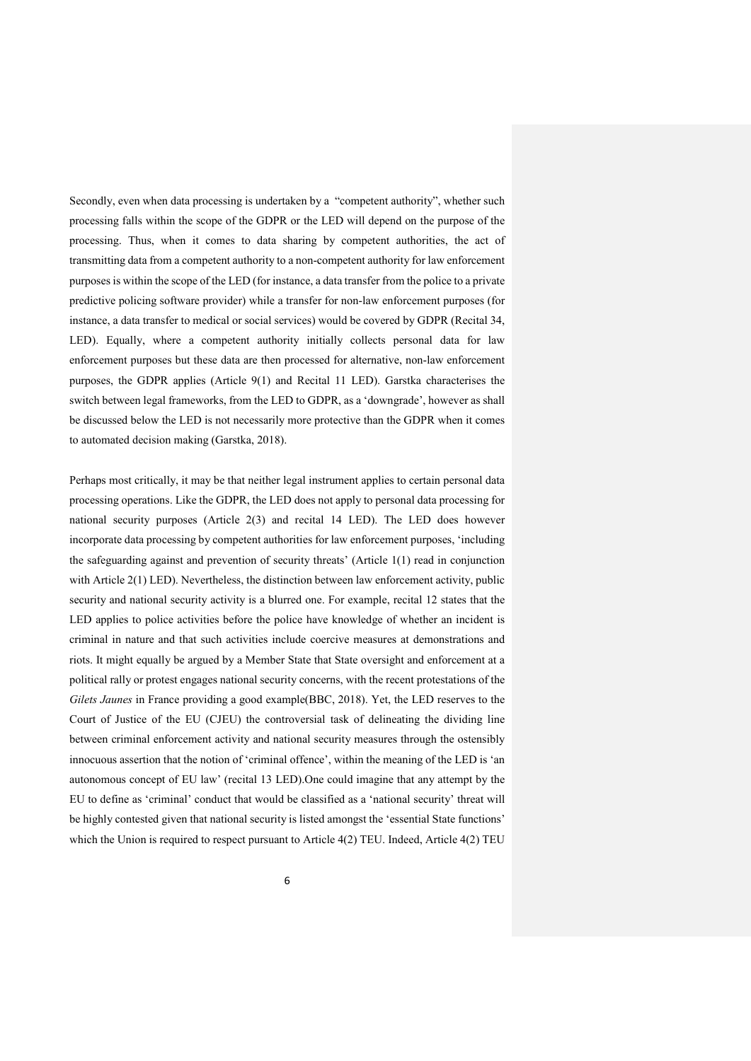Secondly, even when data processing is undertaken by a "competent authority", whether such processing falls within the scope of the GDPR or the LED will depend on the purpose of the processing. Thus, when it comes to data sharing by competent authorities, the act of transmitting data from a competent authority to a non-competent authority for law enforcement purposes is within the scope of the LED (for instance, a data transfer from the police to a private predictive policing software provider) while a transfer for non-law enforcement purposes (for instance, a data transfer to medical or social services) would be covered by GDPR (Recital 34, LED). Equally, where a competent authority initially collects personal data for law enforcement purposes but these data are then processed for alternative, non-law enforcement purposes, the GDPR applies (Article 9(1) and Recital 11 LED). Garstka characterises the switch between legal frameworks, from the LED to GDPR, as a 'downgrade', however as shall be discussed below the LED is not necessarily more protective than the GDPR when it comes to automated decision making (Garstka, 2018).

Perhaps most critically, it may be that neither legal instrument applies to certain personal data processing operations. Like the GDPR, the LED does not apply to personal data processing for national security purposes (Article 2(3) and recital 14 LED). The LED does however incorporate data processing by competent authorities for law enforcement purposes, 'including the safeguarding against and prevention of security threats' (Article 1(1) read in conjunction with Article 2(1) LED). Nevertheless, the distinction between law enforcement activity, public security and national security activity is a blurred one. For example, recital 12 states that the LED applies to police activities before the police have knowledge of whether an incident is criminal in nature and that such activities include coercive measures at demonstrations and riots. It might equally be argued by a Member State that State oversight and enforcement at a political rally or protest engages national security concerns, with the recent protestations of the *Gilets Jaunes* in France providing a good example(BBC, 2018). Yet, the LED reserves to the Court of Justice of the EU (CJEU) the controversial task of delineating the dividing line between criminal enforcement activity and national security measures through the ostensibly innocuous assertion that the notion of 'criminal offence', within the meaning of the LED is 'an autonomous concept of EU law' (recital 13 LED).One could imagine that any attempt by the EU to define as 'criminal' conduct that would be classified as a 'national security' threat will be highly contested given that national security is listed amongst the 'essential State functions' which the Union is required to respect pursuant to Article 4(2) TEU. Indeed, Article 4(2) TEU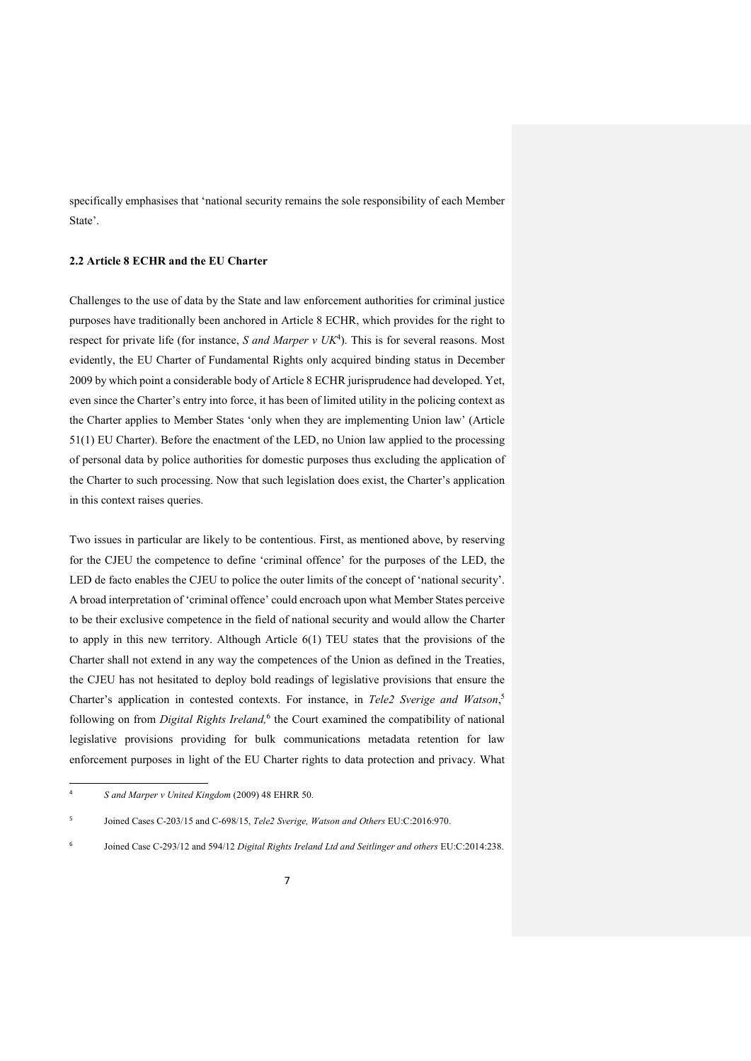specifically emphasises that 'national security remains the sole responsibility of each Member State'.

#### **2.2 Article 8 ECHR and the EU Charter**

Challenges to the use of data by the State and law enforcement authorities for criminal justice purposes have traditionally been anchored in Article 8 ECHR, which provides for the right to respect for private life (for instance, *S and Marper v UK<sup>4</sup>*). This is for several reasons. Most evidently, the EU Charter of Fundamental Rights only acquired binding status in December 2009 by which point a considerable body of Article 8 ECHR jurisprudence had developed. Yet, even since the Charter's entry into force, it has been of limited utility in the policing context as the Charter applies to Member States 'only when they are implementing Union law' (Article 51(1) EU Charter). Before the enactment of the LED, no Union law applied to the processing of personal data by police authorities for domestic purposes thus excluding the application of the Charter to such processing. Now that such legislation does exist, the Charter's application in this context raises queries.

Two issues in particular are likely to be contentious. First, as mentioned above, by reserving for the CJEU the competence to define 'criminal offence' for the purposes of the LED, the LED de facto enables the CJEU to police the outer limits of the concept of 'national security'. A broad interpretation of 'criminal offence' could encroach upon what Member States perceive to be their exclusive competence in the field of national security and would allow the Charter to apply in this new territory. Although Article 6(1) TEU states that the provisions of the Charter shall not extend in any way the competences of the Union as defined in the Treaties, the CJEU has not hesitated to deploy bold readings of legislative provisions that ensure the Charter's application in contested contexts. For instance, in *Tele2 Sverige and Watson*, 5 following on from *Digital Rights Ireland*,<sup>6</sup> the Court examined the compatibility of national legislative provisions providing for bulk communications metadata retention for law enforcement purposes in light of the EU Charter rights to data protection and privacy. What

 $\frac{1}{4}$ *S and Marper v United Kingdom* (2009) 48 EHRR 50.

<sup>5</sup> Joined Cases C-203/15 and C-698/15, *Tele2 Sverige, Watson and Others* EU:C:2016:970.

<sup>6</sup> Joined Case C-293/12 and 594/12 *Digital Rights Ireland Ltd and Seitlinger and others* EU:C:2014:238.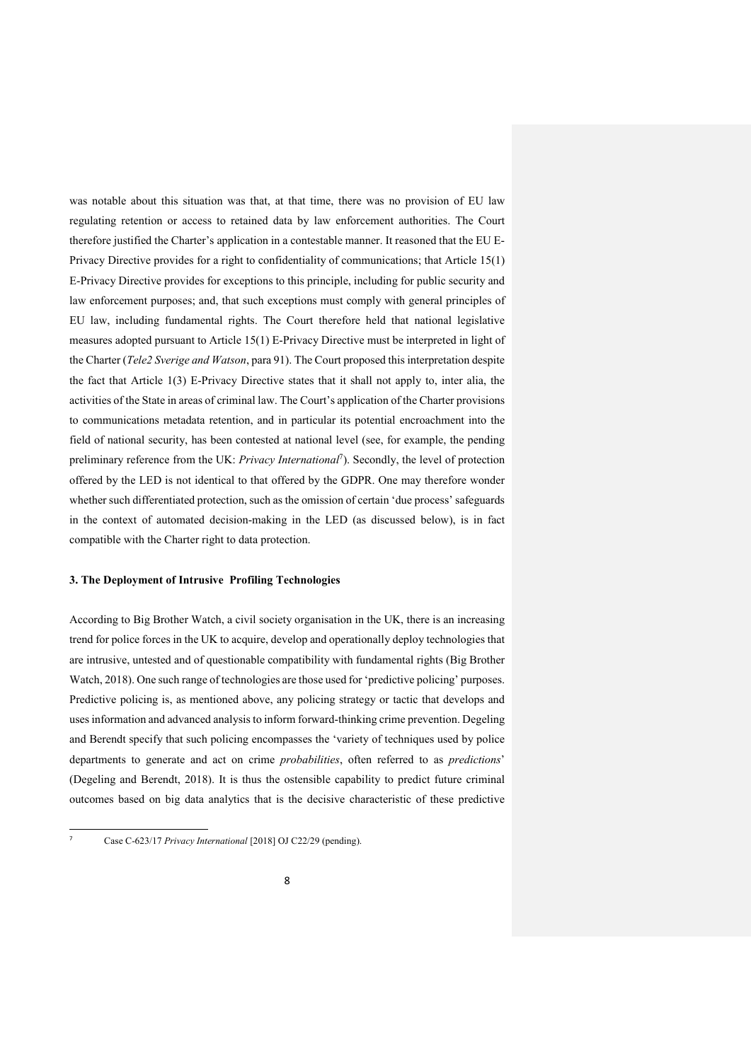was notable about this situation was that, at that time, there was no provision of EU law regulating retention or access to retained data by law enforcement authorities. The Court therefore justified the Charter's application in a contestable manner. It reasoned that the EU E-Privacy Directive provides for a right to confidentiality of communications; that Article 15(1) E-Privacy Directive provides for exceptions to this principle, including for public security and law enforcement purposes; and, that such exceptions must comply with general principles of EU law, including fundamental rights. The Court therefore held that national legislative measures adopted pursuant to Article 15(1) E-Privacy Directive must be interpreted in light of the Charter (*Tele2 Sverige and Watson*, para 91). The Court proposed this interpretation despite the fact that Article 1(3) E-Privacy Directive states that it shall not apply to, inter alia, the activities of the State in areas of criminal law. The Court's application of the Charter provisions to communications metadata retention, and in particular its potential encroachment into the field of national security, has been contested at national level (see, for example, the pending preliminary reference from the UK: *Privacy International<sup>7</sup>*). Secondly, the level of protection offered by the LED is not identical to that offered by the GDPR. One may therefore wonder whether such differentiated protection, such as the omission of certain 'due process' safeguards in the context of automated decision-making in the LED (as discussed below), is in fact compatible with the Charter right to data protection.

## **3. The Deployment of Intrusive Profiling Technologies**

According to Big Brother Watch, a civil society organisation in the UK, there is an increasing trend for police forces in the UK to acquire, develop and operationally deploy technologies that are intrusive, untested and of questionable compatibility with fundamental rights (Big Brother Watch, 2018). One such range of technologies are those used for 'predictive policing' purposes. Predictive policing is, as mentioned above, any policing strategy or tactic that develops and uses information and advanced analysis to inform forward-thinking crime prevention. Degeling and Berendt specify that such policing encompasses the 'variety of techniques used by police departments to generate and act on crime *probabilities*, often referred to as *predictions*' (Degeling and Berendt, 2018). It is thus the ostensible capability to predict future criminal outcomes based on big data analytics that is the decisive characteristic of these predictive

<sup>1</sup> 7

Case C-623/17 *Privacy International* [2018] OJ C22/29 (pending).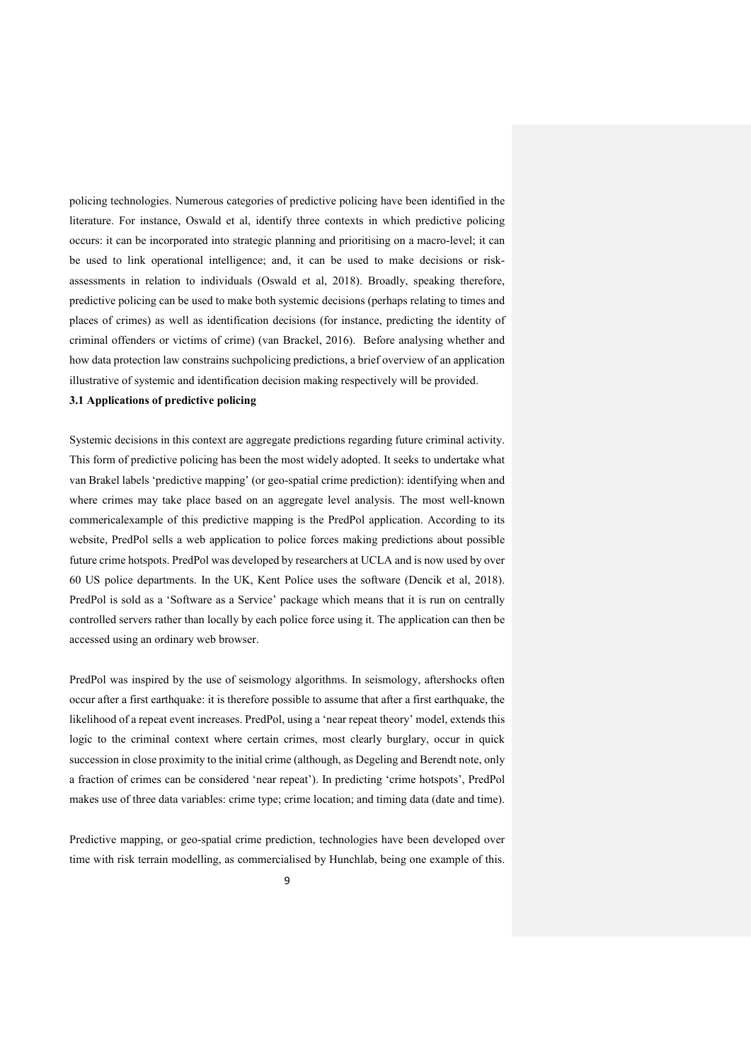policing technologies. Numerous categories of predictive policing have been identified in the literature. For instance, Oswald et al, identify three contexts in which predictive policing occurs: it can be incorporated into strategic planning and prioritising on a macro-level; it can be used to link operational intelligence; and, it can be used to make decisions or riskassessments in relation to individuals (Oswald et al, 2018). Broadly, speaking therefore, predictive policing can be used to make both systemic decisions (perhaps relating to times and places of crimes) as well as identification decisions (for instance, predicting the identity of criminal offenders or victims of crime) (van Brackel, 2016). Before analysing whether and how data protection law constrains suchpolicing predictions, a brief overview of an application illustrative of systemic and identification decision making respectively will be provided.

# **3.1 Applications of predictive policing**

Systemic decisions in this context are aggregate predictions regarding future criminal activity. This form of predictive policing has been the most widely adopted. It seeks to undertake what van Brakel labels 'predictive mapping' (or geo-spatial crime prediction): identifying when and where crimes may take place based on an aggregate level analysis. The most well-known commericalexample of this predictive mapping is the PredPol application. According to its website, PredPol sells a web application to police forces making predictions about possible future crime hotspots. PredPol was developed by researchers at UCLA and is now used by over 60 US police departments. In the UK, Kent Police uses the software (Dencik et al, 2018). PredPol is sold as a 'Software as a Service' package which means that it is run on centrally controlled servers rather than locally by each police force using it. The application can then be accessed using an ordinary web browser.

PredPol was inspired by the use of seismology algorithms. In seismology, aftershocks often occur after a first earthquake: it is therefore possible to assume that after a first earthquake, the likelihood of a repeat event increases. PredPol, using a 'near repeat theory' model, extends this logic to the criminal context where certain crimes, most clearly burglary, occur in quick succession in close proximity to the initial crime (although, as Degeling and Berendt note, only a fraction of crimes can be considered 'near repeat'). In predicting 'crime hotspots', PredPol makes use of three data variables: crime type; crime location; and timing data (date and time).

Predictive mapping, or geo-spatial crime prediction, technologies have been developed over time with risk terrain modelling, as commercialised by Hunchlab, being one example of this.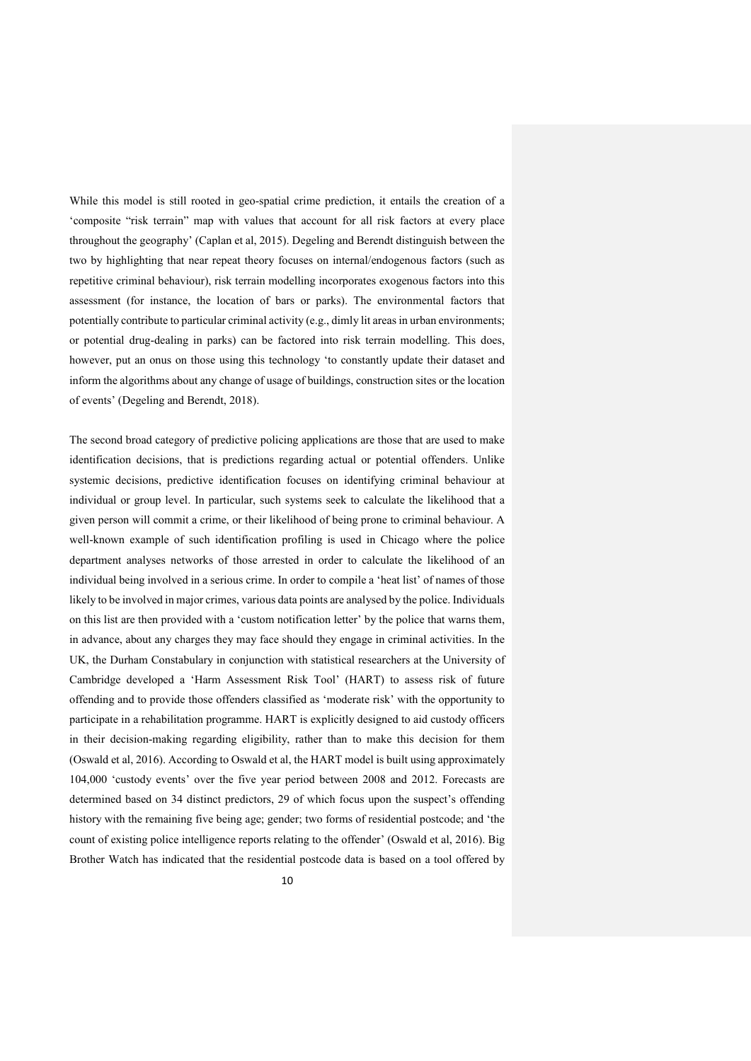While this model is still rooted in geo-spatial crime prediction, it entails the creation of a 'composite "risk terrain" map with values that account for all risk factors at every place throughout the geography' (Caplan et al, 2015). Degeling and Berendt distinguish between the two by highlighting that near repeat theory focuses on internal/endogenous factors (such as repetitive criminal behaviour), risk terrain modelling incorporates exogenous factors into this assessment (for instance, the location of bars or parks). The environmental factors that potentially contribute to particular criminal activity (e.g., dimly lit areas in urban environments; or potential drug-dealing in parks) can be factored into risk terrain modelling. This does, however, put an onus on those using this technology 'to constantly update their dataset and inform the algorithms about any change of usage of buildings, construction sites or the location of events' (Degeling and Berendt, 2018).

The second broad category of predictive policing applications are those that are used to make identification decisions, that is predictions regarding actual or potential offenders. Unlike systemic decisions, predictive identification focuses on identifying criminal behaviour at individual or group level. In particular, such systems seek to calculate the likelihood that a given person will commit a crime, or their likelihood of being prone to criminal behaviour. A well-known example of such identification profiling is used in Chicago where the police department analyses networks of those arrested in order to calculate the likelihood of an individual being involved in a serious crime. In order to compile a 'heat list' of names of those likely to be involved in major crimes, various data points are analysed by the police. Individuals on this list are then provided with a 'custom notification letter' by the police that warns them, in advance, about any charges they may face should they engage in criminal activities. In the UK, the Durham Constabulary in conjunction with statistical researchers at the University of Cambridge developed a 'Harm Assessment Risk Tool' (HART) to assess risk of future offending and to provide those offenders classified as 'moderate risk' with the opportunity to participate in a rehabilitation programme. HART is explicitly designed to aid custody officers in their decision-making regarding eligibility, rather than to make this decision for them (Oswald et al, 2016). According to Oswald et al, the HART model is built using approximately 104,000 'custody events' over the five year period between 2008 and 2012. Forecasts are determined based on 34 distinct predictors, 29 of which focus upon the suspect's offending history with the remaining five being age; gender; two forms of residential postcode; and 'the count of existing police intelligence reports relating to the offender' (Oswald et al, 2016). Big Brother Watch has indicated that the residential postcode data is based on a tool offered by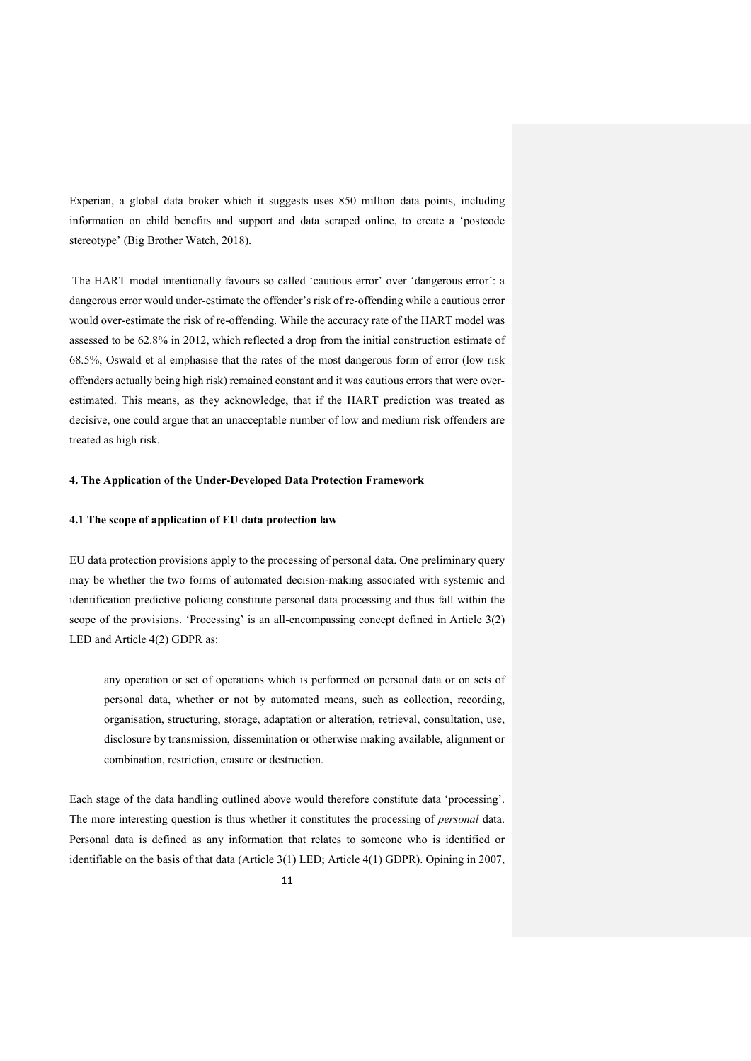Experian, a global data broker which it suggests uses 850 million data points, including information on child benefits and support and data scraped online, to create a 'postcode stereotype' (Big Brother Watch, 2018).

The HART model intentionally favours so called 'cautious error' over 'dangerous error': a dangerous error would under-estimate the offender's risk of re-offending while a cautious error would over-estimate the risk of re-offending. While the accuracy rate of the HART model was assessed to be 62.8% in 2012, which reflected a drop from the initial construction estimate of 68.5%, Oswald et al emphasise that the rates of the most dangerous form of error (low risk offenders actually being high risk) remained constant and it was cautious errors that were overestimated. This means, as they acknowledge, that if the HART prediction was treated as decisive, one could argue that an unacceptable number of low and medium risk offenders are treated as high risk.

### **4. The Application of the Under-Developed Data Protection Framework**

#### **4.1 The scope of application of EU data protection law**

EU data protection provisions apply to the processing of personal data. One preliminary query may be whether the two forms of automated decision-making associated with systemic and identification predictive policing constitute personal data processing and thus fall within the scope of the provisions. 'Processing' is an all-encompassing concept defined in Article 3(2) LED and Article 4(2) GDPR as:

any operation or set of operations which is performed on personal data or on sets of personal data, whether or not by automated means, such as collection, recording, organisation, structuring, storage, adaptation or alteration, retrieval, consultation, use, disclosure by transmission, dissemination or otherwise making available, alignment or combination, restriction, erasure or destruction.

Each stage of the data handling outlined above would therefore constitute data 'processing'. The more interesting question is thus whether it constitutes the processing of *personal* data. Personal data is defined as any information that relates to someone who is identified or identifiable on the basis of that data (Article 3(1) LED; Article 4(1) GDPR). Opining in 2007,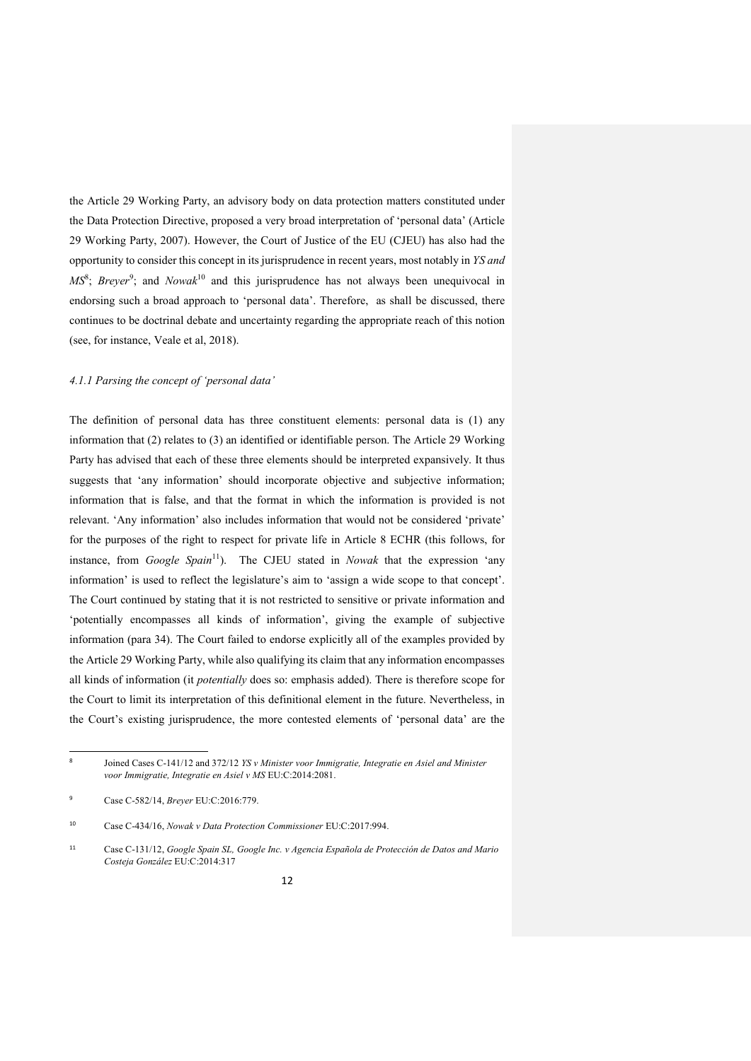the Article 29 Working Party, an advisory body on data protection matters constituted under the Data Protection Directive, proposed a very broad interpretation of 'personal data' (Article 29 Working Party, 2007). However, the Court of Justice of the EU (CJEU) has also had the opportunity to consider this concept in its jurisprudence in recent years, most notably in *YS and MS*<sup>8</sup>; *Breyer*<sup>9</sup>; and *Nowak*<sup>10</sup> and this jurisprudence has not always been unequivocal in endorsing such a broad approach to 'personal data'. Therefore, as shall be discussed, there continues to be doctrinal debate and uncertainty regarding the appropriate reach of this notion (see, for instance, Veale et al, 2018).

## *4.1.1 Parsing the concept of 'personal data'*

The definition of personal data has three constituent elements: personal data is (1) any information that (2) relates to (3) an identified or identifiable person. The Article 29 Working Party has advised that each of these three elements should be interpreted expansively. It thus suggests that 'any information' should incorporate objective and subjective information; information that is false, and that the format in which the information is provided is not relevant. 'Any information' also includes information that would not be considered 'private' for the purposes of the right to respect for private life in Article 8 ECHR (this follows, for instance, from *Google Spain*<sup>11</sup>). The CJEU stated in *Nowak* that the expression 'any information' is used to reflect the legislature's aim to 'assign a wide scope to that concept'. The Court continued by stating that it is not restricted to sensitive or private information and 'potentially encompasses all kinds of information', giving the example of subjective information (para 34). The Court failed to endorse explicitly all of the examples provided by the Article 29 Working Party, while also qualifying its claim that any information encompasses all kinds of information (it *potentially* does so: emphasis added). There is therefore scope for the Court to limit its interpretation of this definitional element in the future. Nevertheless, in the Court's existing jurisprudence, the more contested elements of 'personal data' are the

<sup>-&</sup>lt;br>8 Joined Cases C-141/12 and 372/12 *YS v Minister voor Immigratie, Integratie en Asiel and Minister voor Immigratie, Integratie en Asiel v MS* EU:C:2014:2081.

<sup>9</sup> Case C-582/14, *Breyer* EU:C:2016:779.

<sup>10</sup> Case C-434/16, *Nowak v Data Protection Commissioner* EU:C:2017:994.

<sup>11</sup>Case C-131/12, *Google Spain SL, Google Inc. v Agencia Española de Protección de Datos and Mario Costeja González* EU:C:2014:317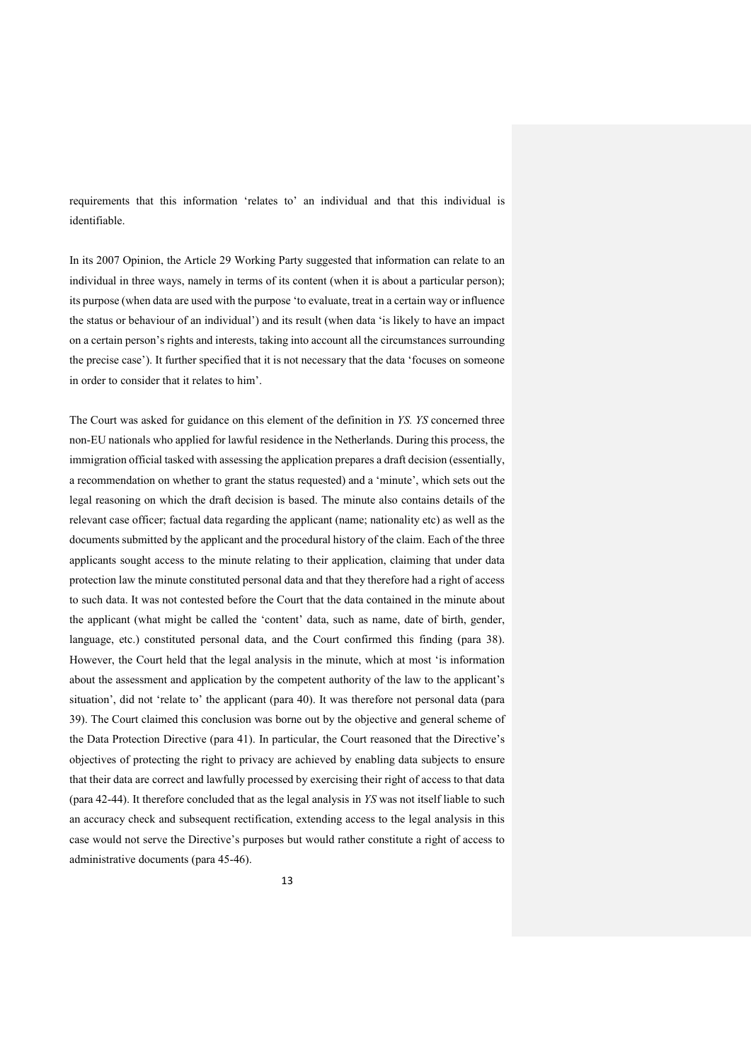requirements that this information 'relates to' an individual and that this individual is identifiable.

In its 2007 Opinion, the Article 29 Working Party suggested that information can relate to an individual in three ways, namely in terms of its content (when it is about a particular person); its purpose (when data are used with the purpose 'to evaluate, treat in a certain way or influence the status or behaviour of an individual') and its result (when data 'is likely to have an impact on a certain person's rights and interests, taking into account all the circumstances surrounding the precise case'). It further specified that it is not necessary that the data 'focuses on someone in order to consider that it relates to him'.

The Court was asked for guidance on this element of the definition in *YS. YS* concerned three non-EU nationals who applied for lawful residence in the Netherlands. During this process, the immigration official tasked with assessing the application prepares a draft decision (essentially, a recommendation on whether to grant the status requested) and a 'minute', which sets out the legal reasoning on which the draft decision is based. The minute also contains details of the relevant case officer; factual data regarding the applicant (name; nationality etc) as well as the documents submitted by the applicant and the procedural history of the claim. Each of the three applicants sought access to the minute relating to their application, claiming that under data protection law the minute constituted personal data and that they therefore had a right of access to such data. It was not contested before the Court that the data contained in the minute about the applicant (what might be called the 'content' data, such as name, date of birth, gender, language, etc.) constituted personal data, and the Court confirmed this finding (para 38). However, the Court held that the legal analysis in the minute, which at most 'is information about the assessment and application by the competent authority of the law to the applicant's situation', did not 'relate to' the applicant (para 40). It was therefore not personal data (para 39). The Court claimed this conclusion was borne out by the objective and general scheme of the Data Protection Directive (para 41). In particular, the Court reasoned that the Directive's objectives of protecting the right to privacy are achieved by enabling data subjects to ensure that their data are correct and lawfully processed by exercising their right of access to that data (para 42-44). It therefore concluded that as the legal analysis in *YS* was not itself liable to such an accuracy check and subsequent rectification, extending access to the legal analysis in this case would not serve the Directive's purposes but would rather constitute a right of access to administrative documents (para 45-46).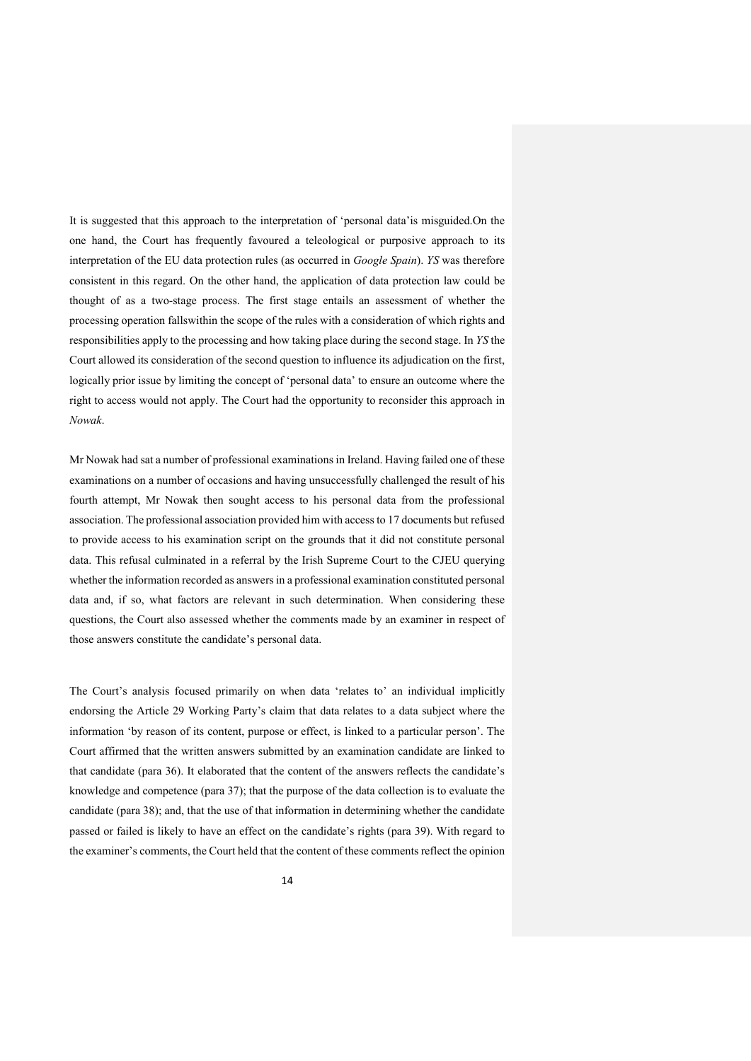It is suggested that this approach to the interpretation of 'personal data'is misguided.On the one hand, the Court has frequently favoured a teleological or purposive approach to its interpretation of the EU data protection rules (as occurred in *Google Spain*). *YS* was therefore consistent in this regard. On the other hand, the application of data protection law could be thought of as a two-stage process. The first stage entails an assessment of whether the processing operation fallswithin the scope of the rules with a consideration of which rights and responsibilities apply to the processing and how taking place during the second stage. In *YS* the Court allowed its consideration of the second question to influence its adjudication on the first, logically prior issue by limiting the concept of 'personal data' to ensure an outcome where the right to access would not apply. The Court had the opportunity to reconsider this approach in *Nowak*.

Mr Nowak had sat a number of professional examinations in Ireland. Having failed one of these examinations on a number of occasions and having unsuccessfully challenged the result of his fourth attempt, Mr Nowak then sought access to his personal data from the professional association. The professional association provided him with access to 17 documents but refused to provide access to his examination script on the grounds that it did not constitute personal data. This refusal culminated in a referral by the Irish Supreme Court to the CJEU querying whether the information recorded as answers in a professional examination constituted personal data and, if so, what factors are relevant in such determination. When considering these questions, the Court also assessed whether the comments made by an examiner in respect of those answers constitute the candidate's personal data.

The Court's analysis focused primarily on when data 'relates to' an individual implicitly endorsing the Article 29 Working Party's claim that data relates to a data subject where the information 'by reason of its content, purpose or effect, is linked to a particular person'. The Court affirmed that the written answers submitted by an examination candidate are linked to that candidate (para 36). It elaborated that the content of the answers reflects the candidate's knowledge and competence (para 37); that the purpose of the data collection is to evaluate the candidate (para 38); and, that the use of that information in determining whether the candidate passed or failed is likely to have an effect on the candidate's rights (para 39). With regard to the examiner's comments, the Court held that the content of these comments reflect the opinion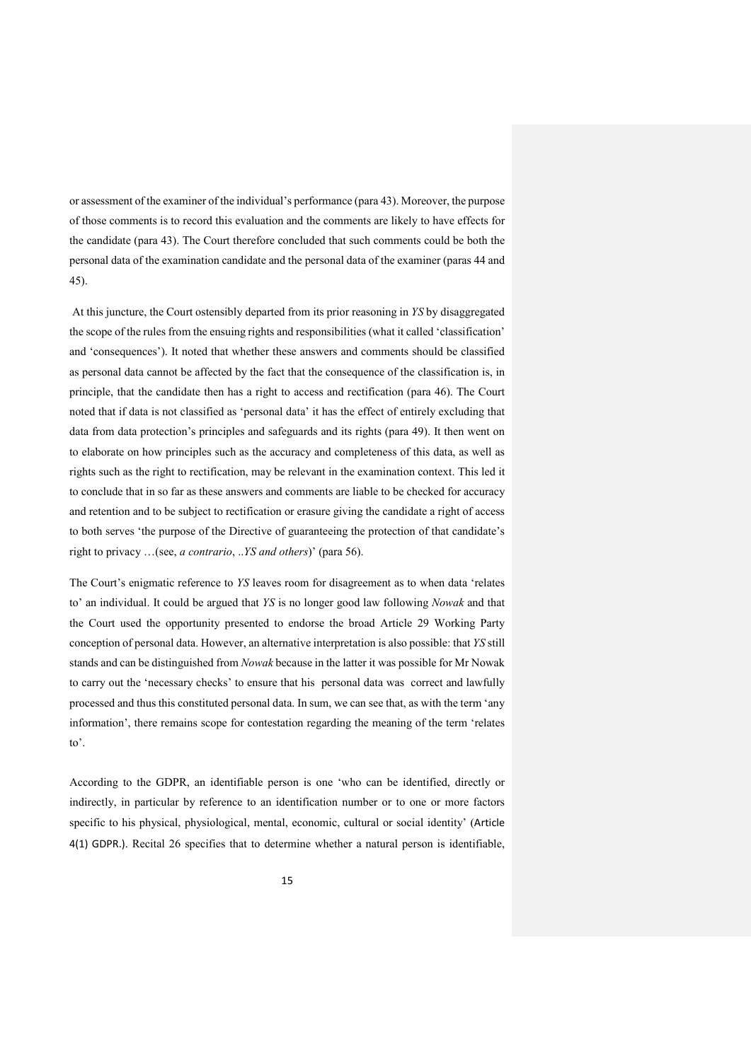or assessment of the examiner of the individual's performance (para 43). Moreover, the purpose of those comments is to record this evaluation and the comments are likely to have effects for the candidate (para 43). The Court therefore concluded that such comments could be both the personal data of the examination candidate and the personal data of the examiner (paras 44 and 45).

At this juncture, the Court ostensibly departed from its prior reasoning in *YS* by disaggregated the scope of the rules from the ensuing rights and responsibilities (what it called 'classification' and 'consequences'). It noted that whether these answers and comments should be classified as personal data cannot be affected by the fact that the consequence of the classification is, in principle, that the candidate then has a right to access and rectification (para 46). The Court noted that if data is not classified as 'personal data' it has the effect of entirely excluding that data from data protection's principles and safeguards and its rights (para 49). It then went on to elaborate on how principles such as the accuracy and completeness of this data, as well as rights such as the right to rectification, may be relevant in the examination context. This led it to conclude that in so far as these answers and comments are liable to be checked for accuracy and retention and to be subject to rectification or erasure giving the candidate a right of access to both serves 'the purpose of the Directive of guaranteeing the protection of that candidate's right to privacy …(see, *a contrario*, ..*YS and others*)' (para 56).

The Court's enigmatic reference to *YS* leaves room for disagreement as to when data 'relates to' an individual. It could be argued that *YS* is no longer good law following *Nowak* and that the Court used the opportunity presented to endorse the broad Article 29 Working Party conception of personal data. However, an alternative interpretation is also possible: that *YS* still stands and can be distinguished from *Nowak* because in the latter it was possible for Mr Nowak to carry out the 'necessary checks' to ensure that his personal data was correct and lawfully processed and thus this constituted personal data. In sum, we can see that, as with the term 'any information', there remains scope for contestation regarding the meaning of the term 'relates to'.

According to the GDPR, an identifiable person is one 'who can be identified, directly or indirectly, in particular by reference to an identification number or to one or more factors specific to his physical, physiological, mental, economic, cultural or social identity' (Article 4(1) GDPR.). Recital 26 specifies that to determine whether a natural person is identifiable,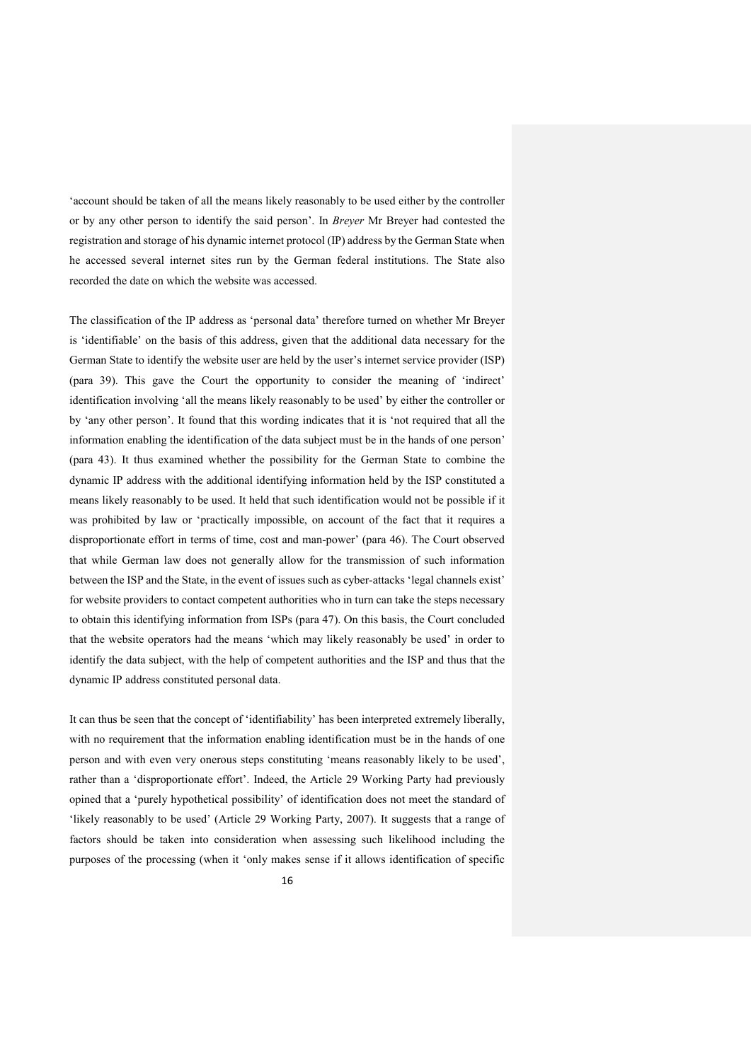'account should be taken of all the means likely reasonably to be used either by the controller or by any other person to identify the said person'. In *Breyer* Mr Breyer had contested the registration and storage of his dynamic internet protocol (IP) address by the German State when he accessed several internet sites run by the German federal institutions. The State also recorded the date on which the website was accessed.

The classification of the IP address as 'personal data' therefore turned on whether Mr Breyer is 'identifiable' on the basis of this address, given that the additional data necessary for the German State to identify the website user are held by the user's internet service provider (ISP) (para 39). This gave the Court the opportunity to consider the meaning of 'indirect' identification involving 'all the means likely reasonably to be used' by either the controller or by 'any other person'. It found that this wording indicates that it is 'not required that all the information enabling the identification of the data subject must be in the hands of one person' (para 43). It thus examined whether the possibility for the German State to combine the dynamic IP address with the additional identifying information held by the ISP constituted a means likely reasonably to be used. It held that such identification would not be possible if it was prohibited by law or 'practically impossible, on account of the fact that it requires a disproportionate effort in terms of time, cost and man-power' (para 46). The Court observed that while German law does not generally allow for the transmission of such information between the ISP and the State, in the event of issues such as cyber-attacks 'legal channels exist' for website providers to contact competent authorities who in turn can take the steps necessary to obtain this identifying information from ISPs (para 47). On this basis, the Court concluded that the website operators had the means 'which may likely reasonably be used' in order to identify the data subject, with the help of competent authorities and the ISP and thus that the dynamic IP address constituted personal data.

It can thus be seen that the concept of 'identifiability' has been interpreted extremely liberally, with no requirement that the information enabling identification must be in the hands of one person and with even very onerous steps constituting 'means reasonably likely to be used', rather than a 'disproportionate effort'. Indeed, the Article 29 Working Party had previously opined that a 'purely hypothetical possibility' of identification does not meet the standard of 'likely reasonably to be used' (Article 29 Working Party, 2007). It suggests that a range of factors should be taken into consideration when assessing such likelihood including the purposes of the processing (when it 'only makes sense if it allows identification of specific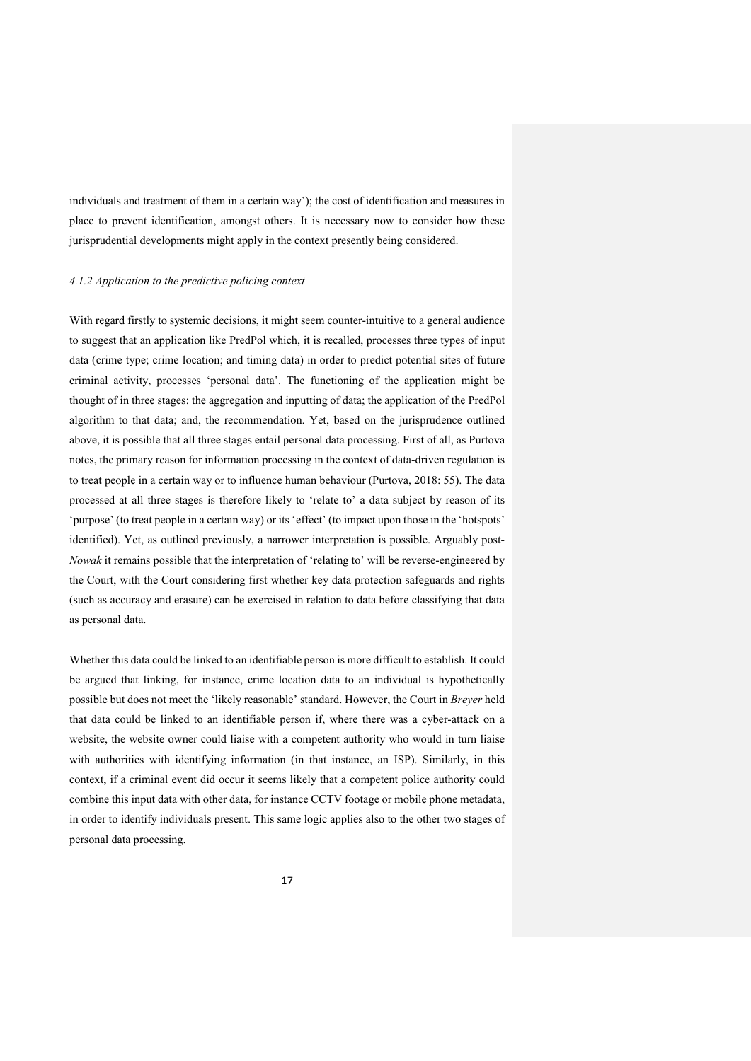individuals and treatment of them in a certain way'); the cost of identification and measures in place to prevent identification, amongst others. It is necessary now to consider how these jurisprudential developments might apply in the context presently being considered.

## *4.1.2 Application to the predictive policing context*

With regard firstly to systemic decisions, it might seem counter-intuitive to a general audience to suggest that an application like PredPol which, it is recalled, processes three types of input data (crime type; crime location; and timing data) in order to predict potential sites of future criminal activity, processes 'personal data'. The functioning of the application might be thought of in three stages: the aggregation and inputting of data; the application of the PredPol algorithm to that data; and, the recommendation. Yet, based on the jurisprudence outlined above, it is possible that all three stages entail personal data processing. First of all, as Purtova notes, the primary reason for information processing in the context of data-driven regulation is to treat people in a certain way or to influence human behaviour (Purtova, 2018: 55). The data processed at all three stages is therefore likely to 'relate to' a data subject by reason of its 'purpose' (to treat people in a certain way) or its 'effect' (to impact upon those in the 'hotspots' identified). Yet, as outlined previously, a narrower interpretation is possible. Arguably post-*Nowak* it remains possible that the interpretation of 'relating to' will be reverse-engineered by the Court, with the Court considering first whether key data protection safeguards and rights (such as accuracy and erasure) can be exercised in relation to data before classifying that data as personal data.

Whether this data could be linked to an identifiable person is more difficult to establish. It could be argued that linking, for instance, crime location data to an individual is hypothetically possible but does not meet the 'likely reasonable' standard. However, the Court in *Breyer* held that data could be linked to an identifiable person if, where there was a cyber-attack on a website, the website owner could liaise with a competent authority who would in turn liaise with authorities with identifying information (in that instance, an ISP). Similarly, in this context, if a criminal event did occur it seems likely that a competent police authority could combine this input data with other data, for instance CCTV footage or mobile phone metadata, in order to identify individuals present. This same logic applies also to the other two stages of personal data processing.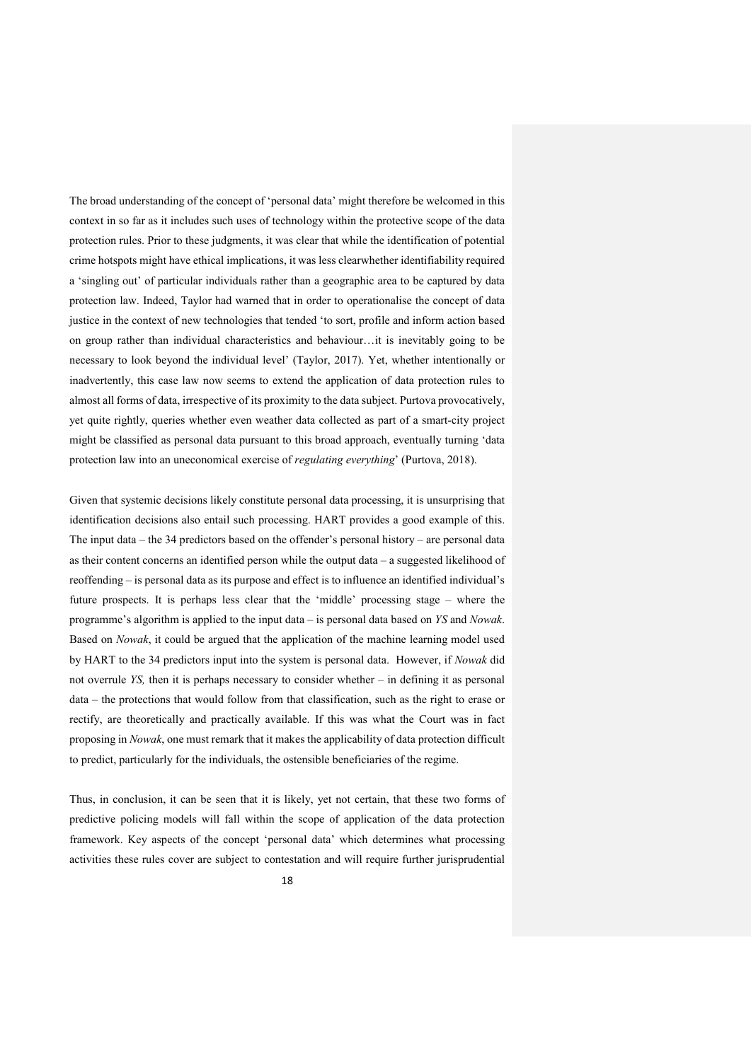The broad understanding of the concept of 'personal data' might therefore be welcomed in this context in so far as it includes such uses of technology within the protective scope of the data protection rules. Prior to these judgments, it was clear that while the identification of potential crime hotspots might have ethical implications, it was less clearwhether identifiability required a 'singling out' of particular individuals rather than a geographic area to be captured by data protection law. Indeed, Taylor had warned that in order to operationalise the concept of data justice in the context of new technologies that tended 'to sort, profile and inform action based on group rather than individual characteristics and behaviour…it is inevitably going to be necessary to look beyond the individual level' (Taylor, 2017). Yet, whether intentionally or inadvertently, this case law now seems to extend the application of data protection rules to almost all forms of data, irrespective of its proximity to the data subject. Purtova provocatively, yet quite rightly, queries whether even weather data collected as part of a smart-city project might be classified as personal data pursuant to this broad approach, eventually turning 'data protection law into an uneconomical exercise of *regulating everything*' (Purtova, 2018).

Given that systemic decisions likely constitute personal data processing, it is unsurprising that identification decisions also entail such processing. HART provides a good example of this. The input data – the 34 predictors based on the offender's personal history – are personal data as their content concerns an identified person while the output data – a suggested likelihood of reoffending – is personal data as its purpose and effect is to influence an identified individual's future prospects. It is perhaps less clear that the 'middle' processing stage – where the programme's algorithm is applied to the input data – is personal data based on *YS* and *Nowak*. Based on *Nowak*, it could be argued that the application of the machine learning model used by HART to the 34 predictors input into the system is personal data. However, if *Nowak* did not overrule *YS,* then it is perhaps necessary to consider whether – in defining it as personal data – the protections that would follow from that classification, such as the right to erase or rectify, are theoretically and practically available. If this was what the Court was in fact proposing in *Nowak*, one must remark that it makes the applicability of data protection difficult to predict, particularly for the individuals, the ostensible beneficiaries of the regime.

Thus, in conclusion, it can be seen that it is likely, yet not certain, that these two forms of predictive policing models will fall within the scope of application of the data protection framework. Key aspects of the concept 'personal data' which determines what processing activities these rules cover are subject to contestation and will require further jurisprudential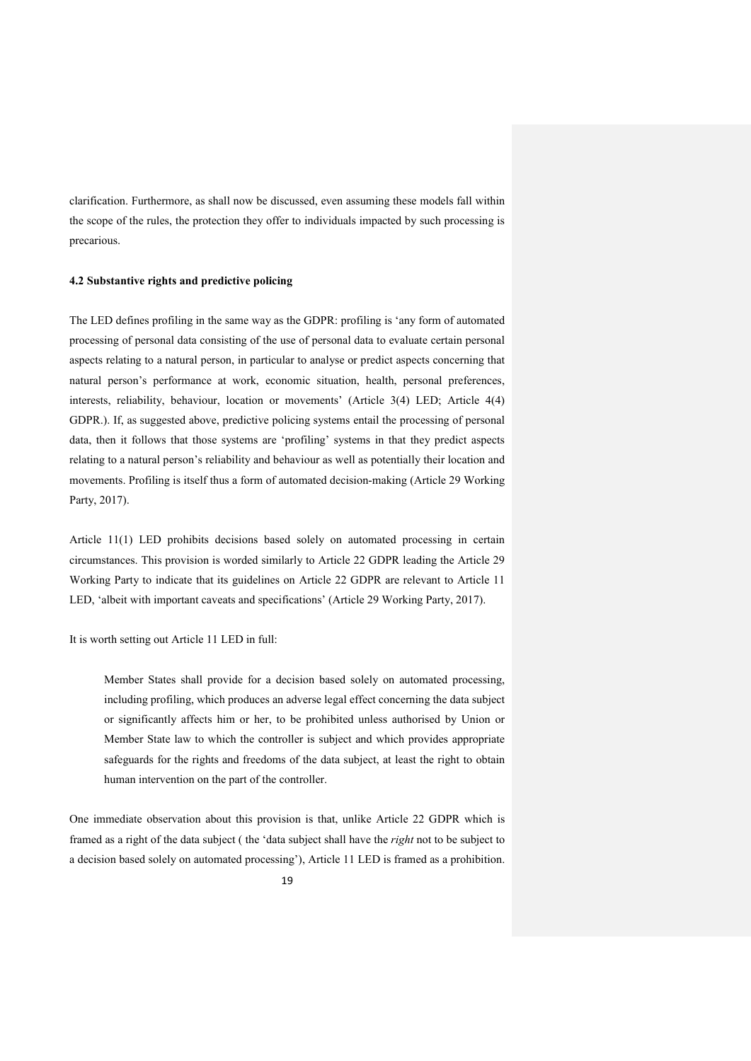clarification. Furthermore, as shall now be discussed, even assuming these models fall within the scope of the rules, the protection they offer to individuals impacted by such processing is precarious.

## **4.2 Substantive rights and predictive policing**

The LED defines profiling in the same way as the GDPR: profiling is 'any form of automated processing of personal data consisting of the use of personal data to evaluate certain personal aspects relating to a natural person, in particular to analyse or predict aspects concerning that natural person's performance at work, economic situation, health, personal preferences, interests, reliability, behaviour, location or movements' (Article 3(4) LED; Article 4(4) GDPR.). If, as suggested above, predictive policing systems entail the processing of personal data, then it follows that those systems are 'profiling' systems in that they predict aspects relating to a natural person's reliability and behaviour as well as potentially their location and movements. Profiling is itself thus a form of automated decision-making (Article 29 Working Party, 2017).

Article 11(1) LED prohibits decisions based solely on automated processing in certain circumstances. This provision is worded similarly to Article 22 GDPR leading the Article 29 Working Party to indicate that its guidelines on Article 22 GDPR are relevant to Article 11 LED, 'albeit with important caveats and specifications' (Article 29 Working Party, 2017).

It is worth setting out Article 11 LED in full:

Member States shall provide for a decision based solely on automated processing, including profiling, which produces an adverse legal effect concerning the data subject or significantly affects him or her, to be prohibited unless authorised by Union or Member State law to which the controller is subject and which provides appropriate safeguards for the rights and freedoms of the data subject, at least the right to obtain human intervention on the part of the controller.

One immediate observation about this provision is that, unlike Article 22 GDPR which is framed as a right of the data subject ( the 'data subject shall have the *right* not to be subject to a decision based solely on automated processing'), Article 11 LED is framed as a prohibition.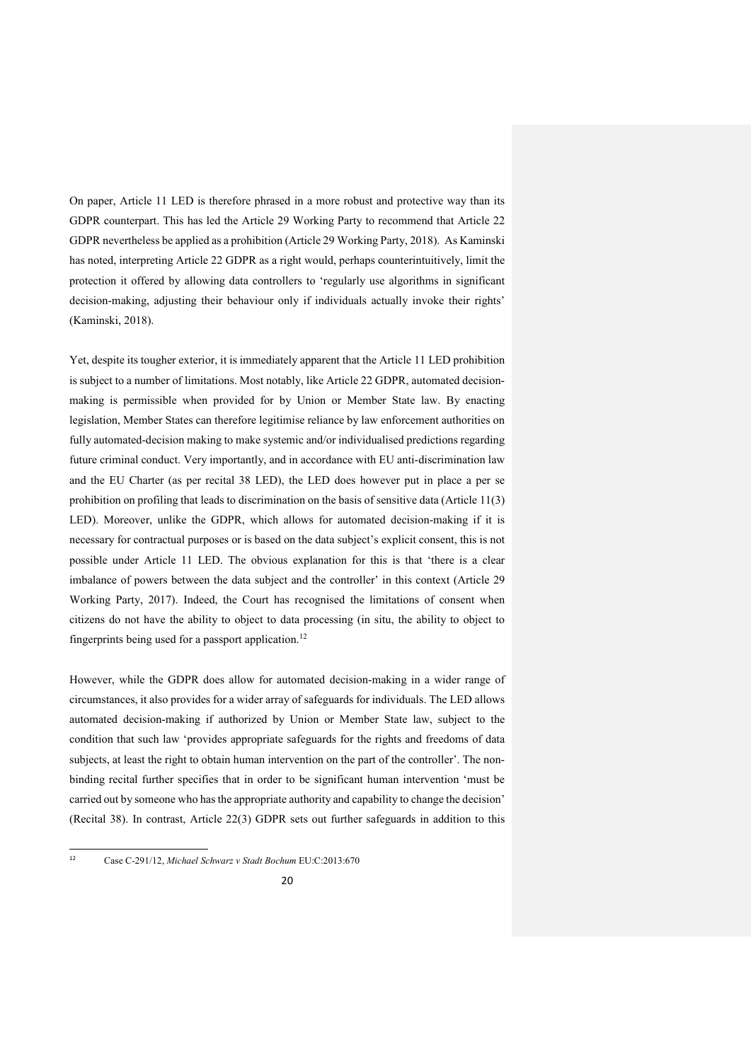On paper, Article 11 LED is therefore phrased in a more robust and protective way than its GDPR counterpart. This has led the Article 29 Working Party to recommend that Article 22 GDPR nevertheless be applied as a prohibition (Article 29 Working Party, 2018). As Kaminski has noted, interpreting Article 22 GDPR as a right would, perhaps counterintuitively, limit the protection it offered by allowing data controllers to 'regularly use algorithms in significant decision-making, adjusting their behaviour only if individuals actually invoke their rights' (Kaminski, 2018).

Yet, despite its tougher exterior, it is immediately apparent that the Article 11 LED prohibition is subject to a number of limitations. Most notably, like Article 22 GDPR, automated decisionmaking is permissible when provided for by Union or Member State law. By enacting legislation, Member States can therefore legitimise reliance by law enforcement authorities on fully automated-decision making to make systemic and/or individualised predictions regarding future criminal conduct. Very importantly, and in accordance with EU anti-discrimination law and the EU Charter (as per recital 38 LED), the LED does however put in place a per se prohibition on profiling that leads to discrimination on the basis of sensitive data (Article 11(3) LED). Moreover, unlike the GDPR, which allows for automated decision-making if it is necessary for contractual purposes or is based on the data subject's explicit consent, this is not possible under Article 11 LED. The obvious explanation for this is that 'there is a clear imbalance of powers between the data subject and the controller' in this context (Article 29 Working Party, 2017). Indeed, the Court has recognised the limitations of consent when citizens do not have the ability to object to data processing (in situ, the ability to object to fingerprints being used for a passport application.<sup>12</sup>

However, while the GDPR does allow for automated decision-making in a wider range of circumstances, it also provides for a wider array of safeguards for individuals. The LED allows automated decision-making if authorized by Union or Member State law, subject to the condition that such law 'provides appropriate safeguards for the rights and freedoms of data subjects, at least the right to obtain human intervention on the part of the controller'. The nonbinding recital further specifies that in order to be significant human intervention 'must be carried out by someone who has the appropriate authority and capability to change the decision' (Recital 38). In contrast, Article 22(3) GDPR sets out further safeguards in addition to this

 $12$ 12 Case C-291/12, *Michael Schwarz v Stadt Bochum* EU:C:2013:670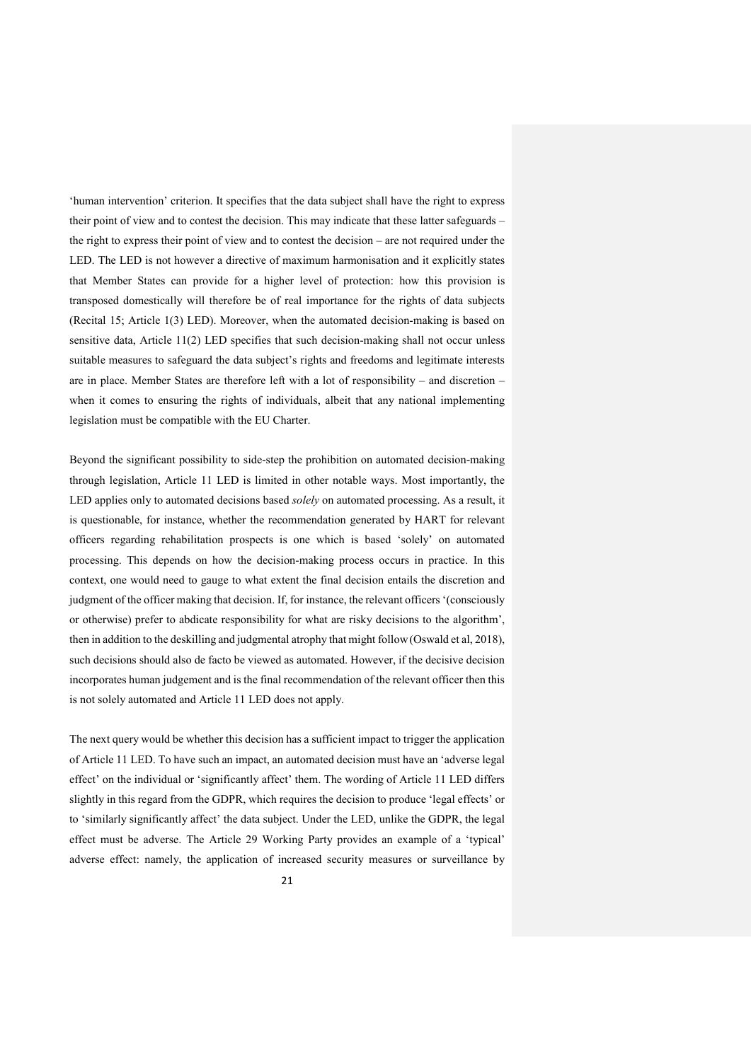'human intervention' criterion. It specifies that the data subject shall have the right to express their point of view and to contest the decision. This may indicate that these latter safeguards – the right to express their point of view and to contest the decision – are not required under the LED. The LED is not however a directive of maximum harmonisation and it explicitly states that Member States can provide for a higher level of protection: how this provision is transposed domestically will therefore be of real importance for the rights of data subjects (Recital 15; Article 1(3) LED). Moreover, when the automated decision-making is based on sensitive data, Article 11(2) LED specifies that such decision-making shall not occur unless suitable measures to safeguard the data subject's rights and freedoms and legitimate interests are in place. Member States are therefore left with a lot of responsibility – and discretion – when it comes to ensuring the rights of individuals, albeit that any national implementing legislation must be compatible with the EU Charter.

Beyond the significant possibility to side-step the prohibition on automated decision-making through legislation, Article 11 LED is limited in other notable ways. Most importantly, the LED applies only to automated decisions based *solely* on automated processing. As a result, it is questionable, for instance, whether the recommendation generated by HART for relevant officers regarding rehabilitation prospects is one which is based 'solely' on automated processing. This depends on how the decision-making process occurs in practice. In this context, one would need to gauge to what extent the final decision entails the discretion and judgment of the officer making that decision. If, for instance, the relevant officers '(consciously or otherwise) prefer to abdicate responsibility for what are risky decisions to the algorithm', then in addition to the deskilling and judgmental atrophy that might follow(Oswald et al, 2018), such decisions should also de facto be viewed as automated. However, if the decisive decision incorporates human judgement and is the final recommendation of the relevant officer then this is not solely automated and Article 11 LED does not apply.

The next query would be whether this decision has a sufficient impact to trigger the application of Article 11 LED. To have such an impact, an automated decision must have an 'adverse legal effect' on the individual or 'significantly affect' them. The wording of Article 11 LED differs slightly in this regard from the GDPR, which requires the decision to produce 'legal effects' or to 'similarly significantly affect' the data subject. Under the LED, unlike the GDPR, the legal effect must be adverse. The Article 29 Working Party provides an example of a 'typical' adverse effect: namely, the application of increased security measures or surveillance by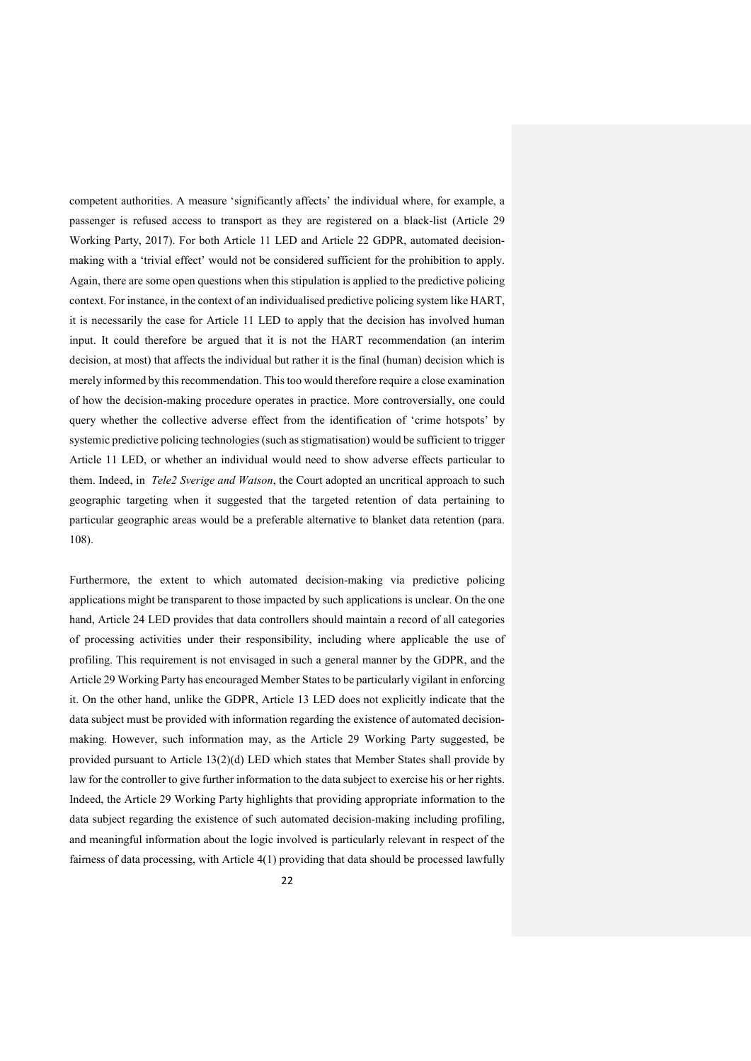competent authorities. A measure 'significantly affects' the individual where, for example, a passenger is refused access to transport as they are registered on a black-list (Article 29 Working Party, 2017). For both Article 11 LED and Article 22 GDPR, automated decisionmaking with a 'trivial effect' would not be considered sufficient for the prohibition to apply. Again, there are some open questions when this stipulation is applied to the predictive policing context. For instance, in the context of an individualised predictive policing system like HART, it is necessarily the case for Article 11 LED to apply that the decision has involved human input. It could therefore be argued that it is not the HART recommendation (an interim decision, at most) that affects the individual but rather it is the final (human) decision which is merely informed by this recommendation. This too would therefore require a close examination of how the decision-making procedure operates in practice. More controversially, one could query whether the collective adverse effect from the identification of 'crime hotspots' by systemic predictive policing technologies (such as stigmatisation) would be sufficient to trigger Article 11 LED, or whether an individual would need to show adverse effects particular to them. Indeed, in *Tele2 Sverige and Watson*, the Court adopted an uncritical approach to such geographic targeting when it suggested that the targeted retention of data pertaining to particular geographic areas would be a preferable alternative to blanket data retention (para. 108).

Furthermore, the extent to which automated decision-making via predictive policing applications might be transparent to those impacted by such applications is unclear. On the one hand, Article 24 LED provides that data controllers should maintain a record of all categories of processing activities under their responsibility, including where applicable the use of profiling. This requirement is not envisaged in such a general manner by the GDPR, and the Article 29 Working Party has encouraged Member States to be particularly vigilant in enforcing it. On the other hand, unlike the GDPR, Article 13 LED does not explicitly indicate that the data subject must be provided with information regarding the existence of automated decisionmaking. However, such information may, as the Article 29 Working Party suggested, be provided pursuant to Article 13(2)(d) LED which states that Member States shall provide by law for the controller to give further information to the data subject to exercise his or her rights. Indeed, the Article 29 Working Party highlights that providing appropriate information to the data subject regarding the existence of such automated decision-making including profiling, and meaningful information about the logic involved is particularly relevant in respect of the fairness of data processing, with Article 4(1) providing that data should be processed lawfully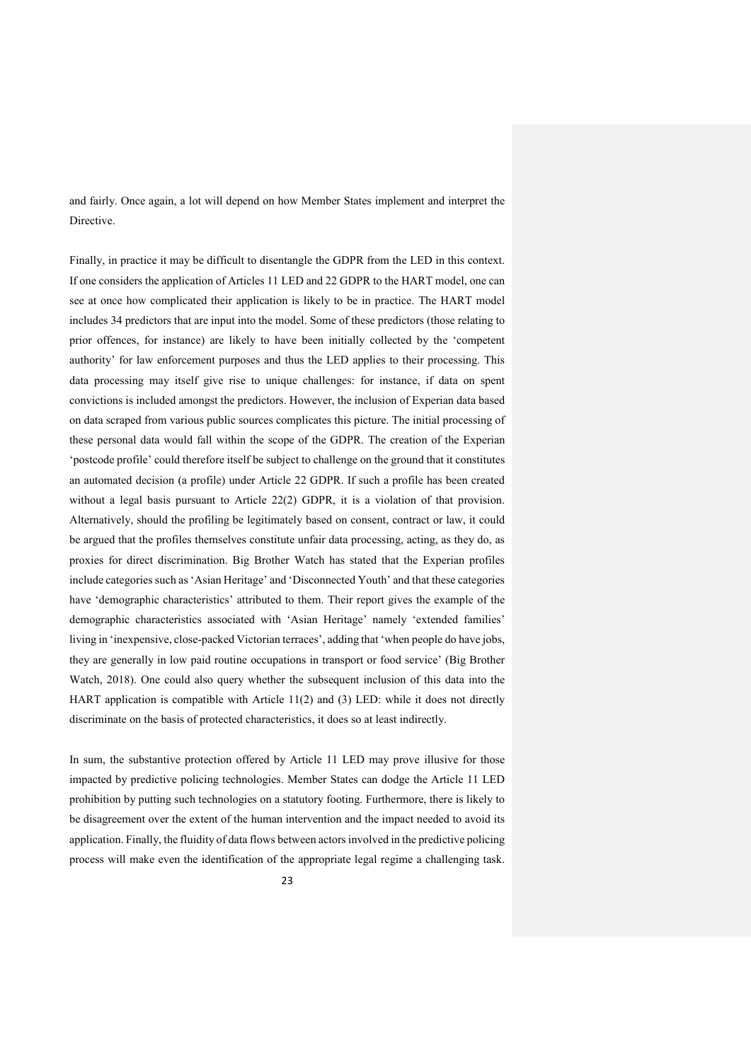and fairly. Once again, a lot will depend on how Member States implement and interpret the **Directive** 

Finally, in practice it may be difficult to disentangle the GDPR from the LED in this context. If one considers the application of Articles 11 LED and 22 GDPR to the HART model, one can see at once how complicated their application is likely to be in practice. The HART model includes 34 predictors that are input into the model. Some of these predictors (those relating to prior offences, for instance) are likely to have been initially collected by the 'competent authority' for law enforcement purposes and thus the LED applies to their processing. This data processing may itself give rise to unique challenges: for instance, if data on spent convictions is included amongst the predictors. However, the inclusion of Experian data based on data scraped from various public sources complicates this picture. The initial processing of these personal data would fall within the scope of the GDPR. The creation of the Experian 'postcode profile' could therefore itself be subject to challenge on the ground that it constitutes an automated decision (a profile) under Article 22 GDPR. If such a profile has been created without a legal basis pursuant to Article 22(2) GDPR, it is a violation of that provision. Alternatively, should the profiling be legitimately based on consent, contract or law, it could be argued that the profiles themselves constitute unfair data processing, acting, as they do, as proxies for direct discrimination. Big Brother Watch has stated that the Experian profiles include categories such as 'Asian Heritage' and 'Disconnected Youth' and that these categories have 'demographic characteristics' attributed to them. Their report gives the example of the demographic characteristics associated with 'Asian Heritage' namely 'extended families' living in 'inexpensive, close-packed Victorian terraces', adding that 'when people do have jobs, they are generally in low paid routine occupations in transport or food service' (Big Brother Watch, 2018). One could also query whether the subsequent inclusion of this data into the HART application is compatible with Article 11(2) and (3) LED: while it does not directly discriminate on the basis of protected characteristics, it does so at least indirectly.

In sum, the substantive protection offered by Article 11 LED may prove illusive for those impacted by predictive policing technologies. Member States can dodge the Article 11 LED prohibition by putting such technologies on a statutory footing. Furthermore, there is likely to be disagreement over the extent of the human intervention and the impact needed to avoid its application. Finally, the fluidity of data flows between actors involved in the predictive policing process will make even the identification of the appropriate legal regime a challenging task.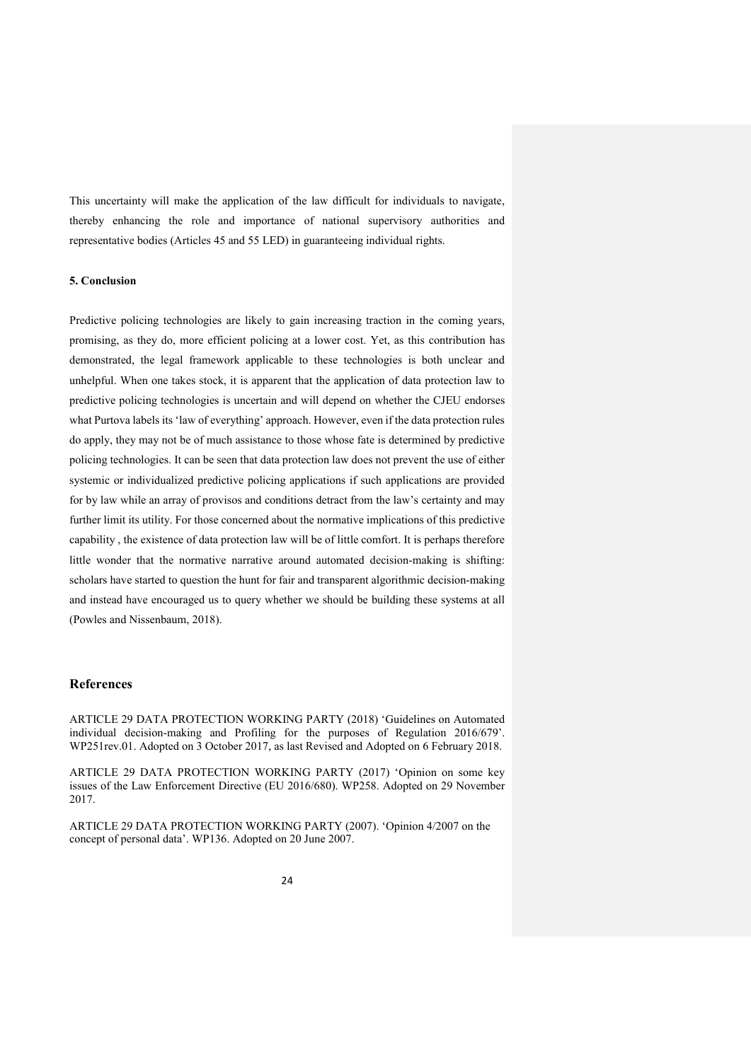This uncertainty will make the application of the law difficult for individuals to navigate, thereby enhancing the role and importance of national supervisory authorities and representative bodies (Articles 45 and 55 LED) in guaranteeing individual rights.

## **5. Conclusion**

Predictive policing technologies are likely to gain increasing traction in the coming years, promising, as they do, more efficient policing at a lower cost. Yet, as this contribution has demonstrated, the legal framework applicable to these technologies is both unclear and unhelpful. When one takes stock, it is apparent that the application of data protection law to predictive policing technologies is uncertain and will depend on whether the CJEU endorses what Purtova labels its 'law of everything' approach. However, even if the data protection rules do apply, they may not be of much assistance to those whose fate is determined by predictive policing technologies. It can be seen that data protection law does not prevent the use of either systemic or individualized predictive policing applications if such applications are provided for by law while an array of provisos and conditions detract from the law's certainty and may further limit its utility. For those concerned about the normative implications of this predictive capability , the existence of data protection law will be of little comfort. It is perhaps therefore little wonder that the normative narrative around automated decision-making is shifting: scholars have started to question the hunt for fair and transparent algorithmic decision-making and instead have encouraged us to query whether we should be building these systems at all (Powles and Nissenbaum, 2018).

# **References**

ARTICLE 29 DATA PROTECTION WORKING PARTY (2018) 'Guidelines on Automated individual decision-making and Profiling for the purposes of Regulation 2016/679'. WP251rev.01. Adopted on 3 October 2017, as last Revised and Adopted on 6 February 2018.

ARTICLE 29 DATA PROTECTION WORKING PARTY (2017) 'Opinion on some key issues of the Law Enforcement Directive (EU 2016/680). WP258. Adopted on 29 November 2017.

ARTICLE 29 DATA PROTECTION WORKING PARTY (2007). 'Opinion 4/2007 on the concept of personal data'. WP136. Adopted on 20 June 2007.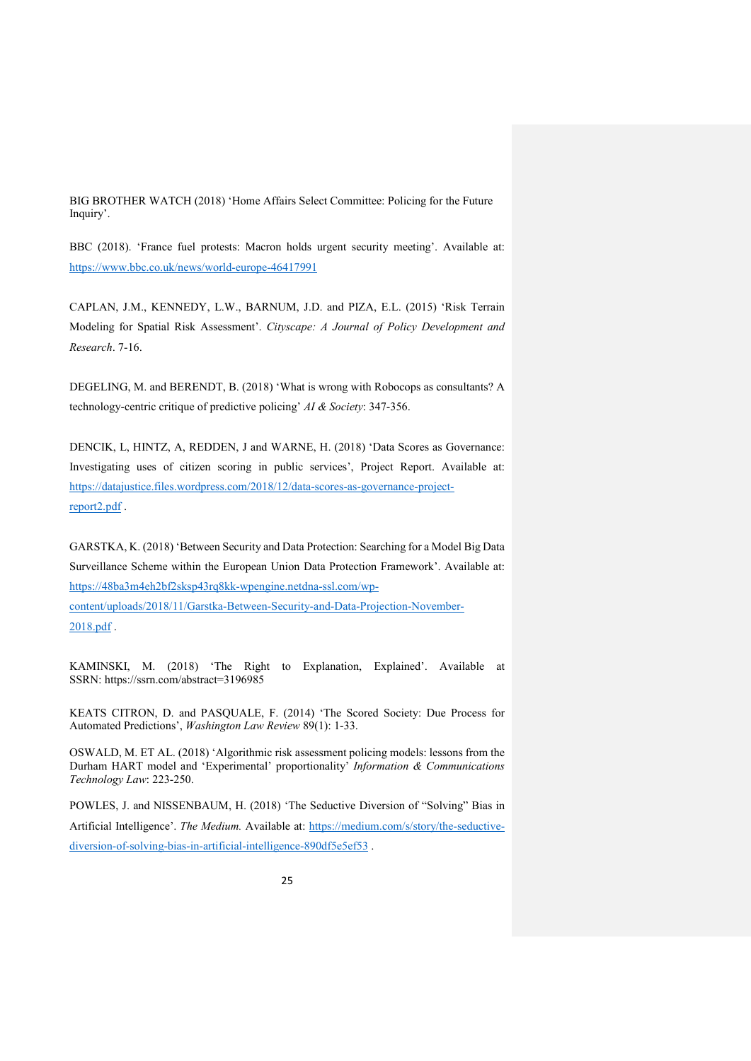BIG BROTHER WATCH (2018) 'Home Affairs Select Committee: Policing for the Future Inquiry'.

BBC (2018). 'France fuel protests: Macron holds urgent security meeting'. Available at: <https://www.bbc.co.uk/news/world-europe-46417991>

CAPLAN, J.M., KENNEDY, L.W., BARNUM, J.D. and PIZA, E.L. (2015) 'Risk Terrain Modeling for Spatial Risk Assessment'. *Cityscape: A Journal of Policy Development and Research*. 7-16.

DEGELING, M. and BERENDT, B. (2018) 'What is wrong with Robocops as consultants? A technology-centric critique of predictive policing' *AI & Society*: 347-356.

DENCIK, L, HINTZ, A, REDDEN, J and WARNE, H. (2018) 'Data Scores as Governance: Investigating uses of citizen scoring in public services', Project Report. Available at: [https://datajustice.files.wordpress.com/2018/12/data-scores-as-governance-project](https://datajustice.files.wordpress.com/2018/12/data-scores-as-governance-project-report2.pdf)[report2.pdf](https://datajustice.files.wordpress.com/2018/12/data-scores-as-governance-project-report2.pdf) .

GARSTKA, K. (2018) 'Between Security and Data Protection: Searching for a Model Big Data Surveillance Scheme within the European Union Data Protection Framework'. Available at: [https://48ba3m4eh2bf2sksp43rq8kk-wpengine.netdna-ssl.com/wp](https://48ba3m4eh2bf2sksp43rq8kk-wpengine.netdna-ssl.com/wp-content/uploads/2018/11/Garstka-Between-Security-and-Data-Projection-November-2018.pdf)[content/uploads/2018/11/Garstka-Between-Security-and-Data-Projection-November-](https://48ba3m4eh2bf2sksp43rq8kk-wpengine.netdna-ssl.com/wp-content/uploads/2018/11/Garstka-Between-Security-and-Data-Projection-November-2018.pdf)[2018.pdf](https://48ba3m4eh2bf2sksp43rq8kk-wpengine.netdna-ssl.com/wp-content/uploads/2018/11/Garstka-Between-Security-and-Data-Projection-November-2018.pdf) .

KAMINSKI, M. (2018) 'The Right to Explanation, Explained'. Available at SSRN: <https://ssrn.com/abstract=3196985>

KEATS CITRON, D. and PASQUALE, F. (2014) 'The Scored Society: Due Process for Automated Predictions', *Washington Law Review* 89(1): 1-33.

OSWALD, M. ET AL. (2018) 'Algorithmic risk assessment policing models: lessons from the Durham HART model and 'Experimental' proportionality' *Information & Communications Technology Law*: 223-250.

POWLES, J. and NISSENBAUM, H. (2018) 'The Seductive Diversion of "Solving" Bias in Artificial Intelligence'. *The Medium.* Available at: [https://medium.com/s/story/the-seductive](https://medium.com/s/story/the-seductive-diversion-of-solving-bias-in-artificial-intelligence-890df5e5ef53)[diversion-of-solving-bias-in-artificial-intelligence-890df5e5ef53](https://medium.com/s/story/the-seductive-diversion-of-solving-bias-in-artificial-intelligence-890df5e5ef53) .